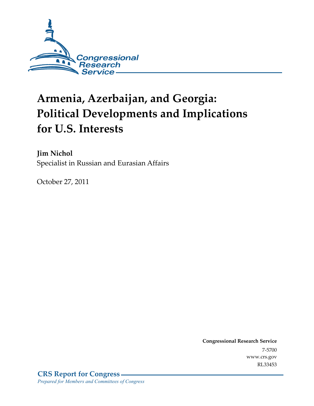

# **Armenia, Azerbaijan, and Georgia: Political Developments and Implications for U.S. Interests**

**Jim Nichol**  Specialist in Russian and Eurasian Affairs

October 27, 2011

**Congressional Research Service**  7-5700 www.crs.gov RL33453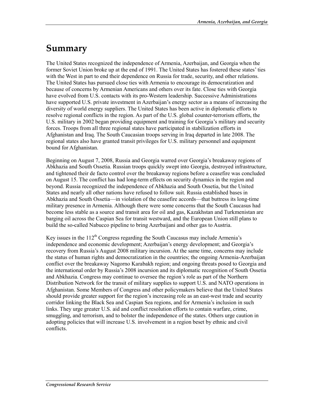## **Summary**

The United States recognized the independence of Armenia, Azerbaijan, and Georgia when the former Soviet Union broke up at the end of 1991. The United States has fostered these states' ties with the West in part to end their dependence on Russia for trade, security, and other relations. The United States has pursued close ties with Armenia to encourage its democratization and because of concerns by Armenian Americans and others over its fate. Close ties with Georgia have evolved from U.S. contacts with its pro-Western leadership. Successive Administrations have supported U.S. private investment in Azerbaijan's energy sector as a means of increasing the diversity of world energy suppliers. The United States has been active in diplomatic efforts to resolve regional conflicts in the region. As part of the U.S. global counter-terrorism efforts, the U.S. military in 2002 began providing equipment and training for Georgia's military and security forces. Troops from all three regional states have participated in stabilization efforts in Afghanistan and Iraq. The South Caucasian troops serving in Iraq departed in late 2008. The regional states also have granted transit privileges for U.S. military personnel and equipment bound for Afghanistan.

Beginning on August 7, 2008, Russia and Georgia warred over Georgia's breakaway regions of Abkhazia and South Ossetia. Russian troops quickly swept into Georgia, destroyed infrastructure, and tightened their de facto control over the breakaway regions before a ceasefire was concluded on August 15. The conflict has had long-term effects on security dynamics in the region and beyond. Russia recognized the independence of Abkhazia and South Ossetia, but the United States and nearly all other nations have refused to follow suit. Russia established bases in Abkhazia and South Ossetia—in violation of the ceasefire accords—that buttress its long-time military presence in Armenia. Although there were some concerns that the South Caucasus had become less stable as a source and transit area for oil and gas, Kazakhstan and Turkmenistan are barging oil across the Caspian Sea for transit westward, and the European Union still plans to build the so-called Nabucco pipeline to bring Azerbaijani and other gas to Austria.

Key issues in the  $112<sup>th</sup>$  Congress regarding the South Caucasus may include Armenia's independence and economic development; Azerbaijan's energy development; and Georgia's recovery from Russia's August 2008 military incursion. At the same time, concerns may include the status of human rights and democratization in the countries; the ongoing Armenia-Azerbaijan conflict over the breakaway Nagorno Karabakh region; and ongoing threats posed to Georgia and the international order by Russia's 2008 incursion and its diplomatic recognition of South Ossetia and Abkhazia. Congress may continue to oversee the region's role as part of the Northern Distribution Network for the transit of military supplies to support U.S. and NATO operations in Afghanistan. Some Members of Congress and other policymakers believe that the United States should provide greater support for the region's increasing role as an east-west trade and security corridor linking the Black Sea and Caspian Sea regions, and for Armenia's inclusion in such links. They urge greater U.S. aid and conflict resolution efforts to contain warfare, crime, smuggling, and terrorism, and to bolster the independence of the states. Others urge caution in adopting policies that will increase U.S. involvement in a region beset by ethnic and civil conflicts.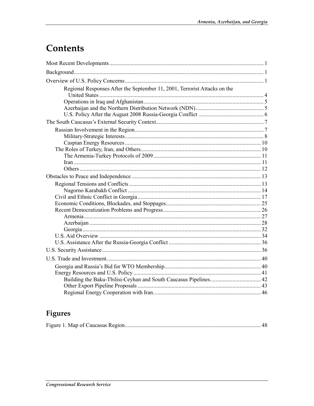## Contents

| Regional Responses After the September 11, 2001, Terrorist Attacks on the |  |
|---------------------------------------------------------------------------|--|
|                                                                           |  |
|                                                                           |  |
|                                                                           |  |
|                                                                           |  |
|                                                                           |  |
|                                                                           |  |
|                                                                           |  |
|                                                                           |  |
|                                                                           |  |
|                                                                           |  |
|                                                                           |  |
|                                                                           |  |
|                                                                           |  |
|                                                                           |  |
|                                                                           |  |
|                                                                           |  |
|                                                                           |  |
|                                                                           |  |
|                                                                           |  |
|                                                                           |  |
|                                                                           |  |
|                                                                           |  |
|                                                                           |  |
|                                                                           |  |
|                                                                           |  |
|                                                                           |  |
|                                                                           |  |
|                                                                           |  |
|                                                                           |  |

## Figures

|--|--|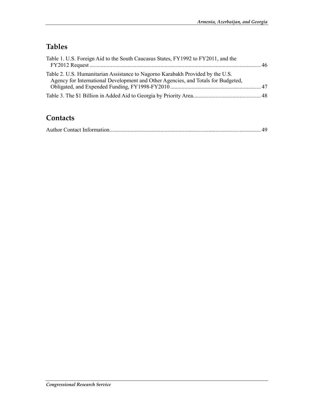## **Tables**

| Table 1. U.S. Foreign Aid to the South Caucasus States, FY1992 to FY2011, and the                                                                                   |  |
|---------------------------------------------------------------------------------------------------------------------------------------------------------------------|--|
| Table 2. U.S. Humanitarian Assistance to Nagorno Karabakh Provided by the U.S.<br>Agency for International Development and Other Agencies, and Totals for Budgeted, |  |
|                                                                                                                                                                     |  |

### **Contacts**

|--|--|--|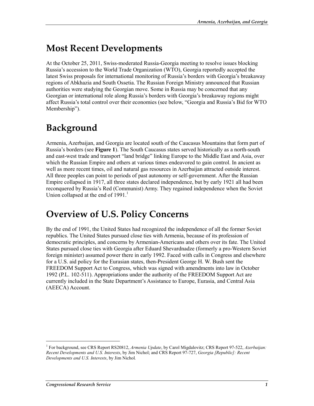## **Most Recent Developments**

At the October 25, 2011, Swiss-moderated Russia-Georgia meeting to resolve issues blocking Russia's accession to the World Trade Organization (WTO), Georgia reportedly accepted the latest Swiss proposals for international monitoring of Russia's borders with Georgia's breakaway regions of Abkhazia and South Ossetia. The Russian Foreign Ministry announced that Russian authorities were studying the Georgian move. Some in Russia may be concerned that any Georgian or international role along Russia's borders with Georgia's breakaway regions might affect Russia's total control over their economies (see below, "Georgia and Russia's Bid for WTO Membership").

## **Background**

Armenia, Azerbaijan, and Georgia are located south of the Caucasus Mountains that form part of Russia's borders (see **Figure 1**). The South Caucasus states served historically as a north-south and east-west trade and transport "land bridge" linking Europe to the Middle East and Asia, over which the Russian Empire and others at various times endeavored to gain control. In ancient as well as more recent times, oil and natural gas resources in Azerbaijan attracted outside interest. All three peoples can point to periods of past autonomy or self-government. After the Russian Empire collapsed in 1917, all three states declared independence, but by early 1921 all had been reconquered by Russia's Red (Communist) Army. They regained independence when the Soviet Union collapsed at the end of  $1991<sup>1</sup>$ 

## **Overview of U.S. Policy Concerns**

By the end of 1991, the United States had recognized the independence of all the former Soviet republics. The United States pursued close ties with Armenia, because of its profession of democratic principles, and concerns by Armenian-Americans and others over its fate. The United States pursued close ties with Georgia after Eduard Shevardnadze (formerly a pro-Western Soviet foreign minister) assumed power there in early 1992. Faced with calls in Congress and elsewhere for a U.S. aid policy for the Eurasian states, then-President George H. W. Bush sent the FREEDOM Support Act to Congress, which was signed with amendments into law in October 1992 (P.L. 102-511). Appropriations under the authority of the FREEDOM Support Act are currently included in the State Department's Assistance to Europe, Eurasia, and Central Asia (AEECA) Account.

<sup>1</sup> For background, see CRS Report RS20812, *Armenia Update*, by Carol Migdalovitz; CRS Report 97-522, *Azerbaijan: Recent Developments and U.S. Interests*, by Jim Nichol; and CRS Report 97-727, *Georgia [Republic]: Recent Developments and U.S. Interests*, by Jim Nichol*.*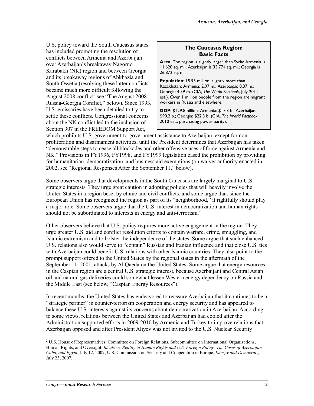U.S. policy toward the South Caucasus states has included promoting the resolution of conflicts between Armenia and Azerbaijan over Azerbaijan's breakaway Nagorno Karabakh (NK) region and between Georgia and its breakaway regions of Abkhazia and South Ossetia (resolving these latter conflicts became much more difficult following the August 2008 conflict; see "The August 2008 Russia-Georgia Conflict," below). Since 1993, U.S. emissaries have been detailed to try to settle these conflicts. Congressional concerns about the NK conflict led to the inclusion of Section 907 in the FREEDOM Support Act,

#### **The Caucasus Region: Basic Facts**

**Area**: The region is slightly larger than Syria: Armenia is 11,620 sq. mi.; Azerbaijan is 33,774 sq. mi.; Georgia is 26,872 sq. mi.

**Population**: 15.93 million, slightly more than Kazakhstan; Armenia: 2.97 m.; Azerbaijan: 8.37 m.; Georgia: 4.59 m. (CIA, *The World Factbook*, July 2011 est.). Over 1 million people from the region are migrant workers in Russia and elsewhere.

**GDP**: \$129.8 billion: Armenia: \$17.3 b.; Azerbaijan: \$90.2 b.; Georgia: \$22.3 b. (CIA, *The World Factbook*, 2010 est., purchasing power parity).

which prohibits U.S. government-to-government assistance to Azerbaijan, except for nonproliferation and disarmament activities, until the President determines that Azerbaijan has taken "demonstrable steps to cease all blockades and other offensive uses of force against Armenia and NK." Provisions in FY1996, FY1998, and FY1999 legislation eased the prohibition by providing for humanitarian, democratization, and business aid exemptions (on waiver authority enacted in 2002, see "Regional Responses After the September 11," below).

Some observers argue that developments in the South Caucasus are largely marginal to U.S. strategic interests. They urge great caution in adopting policies that will heavily involve the United States in a region beset by ethnic and civil conflicts, and some argue that, since the European Union has recognized the region as part of its "neighborhood," it rightfully should play a major role. Some observers argue that the U.S. interest in democratization and human rights should not be subordinated to interests in energy and anti-terrorism.<sup>2</sup>

Other observers believe that U.S. policy requires more active engagement in the region. They urge greater U.S. aid and conflict resolution efforts to contain warfare, crime, smuggling, and Islamic extremism and to bolster the independence of the states. Some argue that such enhanced U.S. relations also would serve to "contain" Russian and Iranian influence and that close U.S. ties with Azerbaijan could benefit U.S. relations with other Islamic countries. They also point to the prompt support offered to the United States by the regional states in the aftermath of the September 11, 2001, attacks by Al Qaeda on the United States. Some argue that energy resources in the Caspian region are a central U.S. strategic interest, because Azerbaijani and Central Asian oil and natural gas deliveries could somewhat lessen Western energy dependency on Russia and the Middle East (see below, "Caspian Energy Resources").

In recent months, the United States has endeavored to reassure Azerbaijan that it continues to be a "strategic partner" in counter-terrorism cooperation and energy security and has appeared to balance these U.S. interests against its concerns about democratization in Azerbaijan. According to some views, relations between the United States and Azerbaijan had cooled after the Administration supported efforts in 2009-2010 by Armenia and Turkey to improve relations that Azerbaijan opposed and after President Aliyev was not invited to the U.S. Nuclear Security

<sup>&</sup>lt;sup>2</sup> U.S. House of Representatives. Committee on Foreign Relations. Subcommittee on International Organizations, Human Rights, and Oversight. *Ideals vs. Reality in Human Rights and U.S. Foreign Policy: The Cases of Azerbaijan, Cuba, and Egypt*, July 12, 2007; U.S. Commission on Security and Cooperation in Europe. *Energy and Democracy*, July 23, 2007.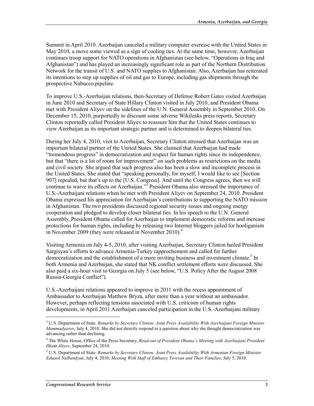Summit in April 2010. Azerbaijan canceled a military computer exercise with the United States in May 2010, a move some viewed as a sign of cooling ties. At the same time, however, Azerbaijan continues troop support for NATO operations in Afghanistan (see below, "Operations in Iraq and Afghanistan") and has played an increasingly significant role as part of the Northern Distribution Network for the transit of U.S. and NATO supplies to Afghanistan. Also, Azerbaijan has reiterated its intentions to step up supplies of oil and gas to Europe, including gas shipments through the prospective Nabucco pipeline.

To improve U.S.-Azerbaijan relations, then-Secretary of Defense Robert Gates visited Azerbaijan in June 2010 and Secretary of State Hillary Clinton visited in July 2010, and President Obama met with President Aliyev on the sidelines of the U.N. General Assembly in September 2010. On December 15, 2010, purportedly to discount some adverse Wikileaks press reports, Secretary Clinton reportedly called President Aliyev to reassure him that the United States continues to view Azerbaijan as its important strategic partner and is determined to deepen bilateral ties.

During her July 4, 2010, visit to Azerbaijan, Secretary Clinton stressed that Azerbaijan was an important bilateral partner of the United States. She claimed that Azerbaijan had made "tremendous progress" in democratization and respect for human rights since its independence, but that "there is a lot of room for improvement" on such problems as restrictions on the media and civil society. She argued that such progress also has been a slow and incomplete process in the United States. She stated that "speaking personally, for myself, I would like to see [Section 907] repealed, but that's up to the [U.S. Congress]. And until the Congress agrees, then we will continue to waive its effects on Azerbaijan."<sup>3</sup> President Obama also stressed the importance of U.S.-Azerbaijani relations when he met with President Aliyev on September 24, 2010. President Obama expressed his appreciation for Azerbaijan's contributions to supporting the NATO mission in Afghanistan. The two presidents discussed regional security issues and ongoing energy cooperation and pledged to develop closer bilateral ties. In his speech to the U.N. General Assembly, President Obama called for Azerbaijan to implement democratic reforms and increase protections for human rights, including by releasing two Internet bloggers jailed for hooliganism in November 2009 (they were released in November 2010).<sup>4</sup>

Visiting Armenia on July 4-5, 2010, after visiting Azerbaijan, Secretary Clinton hailed President Sargisyan's efforts to advance Armenia-Turkey rapprochement and called for further democratization and the establishment of a more inviting business and investment climate.<sup>5</sup> In both Armenia and Azerbaijan, she stated that NK conflict settlement efforts were discussed. She also paid a six-hour visit to Georgia on July 5 (see below, "U.S. Policy After the August 2008 Russia-Georgia Conflict").

U.S.-Azerbaijani relations appeared to improve in 2011 with the recess appointment of Ambassador to Azerbaijan Matthew Bryza, after more than a year without an ambassador. However, perhaps reflecting tensions associated with U.S. criticism of human rights developments, in April 2011 Azerbaijan canceled participation in the U.S.-Azerbaijani military

<sup>3</sup> U.S. Department of State. *Remarks by Secretary Clinton: Joint Press Availability With Azerbaijani Foreign Minister Mammadyarov*, July 4, 2010. She did not directly respond to a question about why she thought democratization was advancing rather than declining.

<sup>4</sup> The White House, Office of the Press Secretary, *Read-out of President Obama's Meeting with Azerbaijani President Ilham Aliyev*, September 24, 2010.

<sup>5</sup> U.S. Department of State. *Remarks by Secretary Clinton: Joint Press Availability With Armenian Foreign Minister Eduard Nalbandyan*, July 4, 2010; *Meeting With Staff of Embassy Yerevan and Their Families*, July 5, 2010.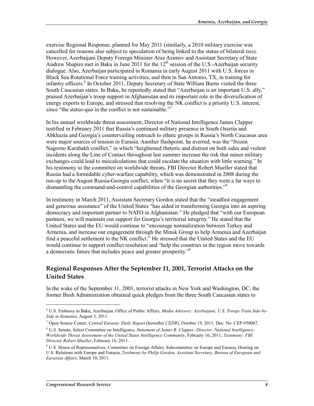exercise Regional Response, planned for May 2011 (similarly, a 2010 military exercise was cancelled for reasons also subject to speculation of being linked to the status of bilateral ties). However, Azerbaijani Deputy Foreign Minister Araz Azimov and Assistant Secretary of State Andrew Shapiro met in Baku in June 2011 for the  $12<sup>th</sup>$  session of the U.S.-Azerbaijan security dialogue. Also, Azerbaijan participated in Romania in early August 2011 with U.S. forces in Black Sea Rotational Force training activities, and then in San Antonio, TX, in training for infantry officers.<sup>6</sup> In October 2011, Deputy Secretary of State William Burns visited the three South Caucasian states. In Baku, he reportedly stated that "Azerbaijan is an important U.S. ally," praised Azerbaijan's troop support in Afghanistan and its important role in the diversification of energy exports to Europe, and stressed that resolving the NK conflict is a priority U.S. interest, since "the status-quo in the conflict is not sustainable."<sup>7</sup>

In his annual worldwide threat assessment, Director of National Intelligence James Clapper testified in February 2011 that Russia's continued military presence in South Ossetia and Abkhazia and Georgia's countervailing outreach to ethnic groups in Russia's North Caucasus area were major sources of tension in Eurasia. Another flashpoint, he averred, was the "frozen Nagorno Karabakh conflict," in which "heightened rhetoric and distrust on both sides and violent incidents along the Line of Contact throughout last summer increase the risk that minor military exchanges could lead to miscalculations that could escalate the situation with little warning." In his testimony to the committee on worldwide threats, FBI Director Robert Mueller stated that Russia had a formidable cyber-warfare capability, which was demonstrated in 2008 during the run-up to the August Russia-Georgia conflict, when "it is no secret that they went a far ways to dismantling the command-and-control capabilities of the Georgian authorities."8

In testimony in March 2011, Assistant Secretary Gordon stated that the "steadfast engagement and generous assistance" of the United States "has aided in transforming Georgia into an aspiring democracy and important partner to NATO in Afghanistan." He pledged that "with our European partners, we will maintain our support for Georgia's territorial integrity." He stated that the United States and the EU would continue to "encourage normalization between Turkey and Armenia, and increase our engagement through the Minsk Group to help Armenia and Azerbaijan find a peaceful settlement to the NK conflict." He stressed that the United States and the EU would continue to support conflict resolution and "help the countries in the region move towards a democratic future that includes peace and greater prosperity."9

#### **Regional Responses After the September 11, 2001, Terrorist Attacks on the United States**

In the wake of the September 11, 2001, terrorist attacks in New York and Washington, DC, the former Bush Administration obtained quick pledges from the three South Caucasian states to

 $\overline{a}$ 

<sup>6</sup> U.S. Embassy in Baku, Azerbaijan, Office of Public Affairs, *Media Advisory: Azerbaijani, U.S. Troops Train Side-by-Side in Romania*, August 3, 2011.

<sup>7</sup> Open Source Center, *Central Eurasia: Daily Report* (hereafter *CEDR*), October 19, 2011, Doc. No. CEP-950087.

<sup>8</sup> U.S. Senate, Select Committee on Intelligence, *Statement of James R. Clapper, Director, National Intelligence: Worldwide Threat Assessment of the United States Intelligence Community*, February 16, 2011; *Testimony: FBI Director Robert Mueller*, February 16, 2011.

<sup>&</sup>lt;sup>9</sup> U.S. House of Representatives, Committee on Foreign Affairs, Subcommittee on Europe and Eurasia, Hearing on U.S. Relations with Europe and Eurasia, *Testimony by Philip Gordon, Assistant Secretary, Bureau of European and Eurasian Affairs*, March 10, 2011.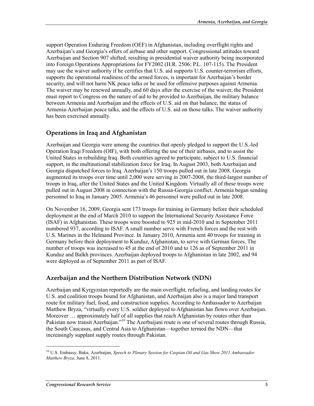support Operation Enduring Freedom (OEF) in Afghanistan, including overflight rights and Azerbaijan's and Georgia's offers of airbase and other support. Congressional attitudes toward Azerbaijan and Section 907 shifted, resulting in presidential waiver authority being incorporated into Foreign Operations Appropriations for FY2002 (H.R. 2506; P.L. 107-115). The President may use the waiver authority if he certifies that U.S. aid supports U.S. counter-terrorism efforts, supports the operational readiness of the armed forces, is important for Azerbaijan's border security, and will not harm NK peace talks or be used for offensive purposes against Armenia. The waiver may be renewed annually, and 60 days after the exercise of the waiver, the President must report to Congress on the nature of aid to be provided to Azerbaijan, the military balance between Armenia and Azerbaijan and the effects of U.S. aid on that balance, the status of Armenia-Azerbaijan peace talks, and the effects of U.S. aid on those talks. The waiver authority has been exercised annually.

#### **Operations in Iraq and Afghanistan**

Azerbaijan and Georgia were among the countries that openly pledged to support the U.S.-led Operation Iraqi Freedom (OIF), with both offering the use of their airbases, and to assist the United States in rebuilding Iraq. Both countries agreed to participate, subject to U.S. financial support, in the multinational stabilization force for Iraq. In August 2003, both Azerbaijan and Georgia dispatched forces to Iraq. Azerbaijan's 150 troops pulled out in late 2008. Georgia augmented its troops over time until 2,000 were serving in 2007-2008, the third-largest number of troops in Iraq, after the United States and the United Kingdom. Virtually all of these troops were pulled out in August 2008 in connection with the Russia-Georgia conflict. Armenia began sending personnel to Iraq in January 2005. Armenia's 46 personnel were pulled out in late 2008.

On November 16, 2009, Georgia sent 173 troops for training in Germany before their scheduled deployment at the end of March 2010 to support the International Security Assistance Force (ISAF) in Afghanistan. These troops were boosted to 925 in mid-2010 and in September 2011 numbered 937, according to ISAF. A small number serve with French forces and the rest with U.S. Marines in the Helmand Province. In January 2010, Armenia sent 40 troops for training in Germany before their deployment to Kunduz, Afghanistan, to serve with German forces. The number of troops was increased to 45 at the end of 2010 and to 126 as of September 2011 in Kunduz and Balkh provinces. Azerbaijan deployed troops to Afghanistan in late 2002, and 94 were deployed as of September 2011 as part of ISAF.

#### **Azerbaijan and the Northern Distribution Network (NDN)**

Azerbaijan and Kyrgyzstan reportedly are the main overflight, refueling, and landing routes for U.S. and coalition troops bound for Afghanistan, and Azerbaijan also is a major land transport route for military fuel, food, and construction supplies. According to Ambassador to Azerbaijan Matthew Bryza, "virtually every U.S. soldier deployed to Afghanistan has flown over Azerbaijan. Moreover … approximately half of all supplies that reach Afghanistan by routes other than Pakistan now transit Azerbaijan."<sup>10</sup> The Azerbaijani route is one of several routes through Russia, the South Caucasus, and Central Asia to Afghanistan—together termed the NDN—that increasingly supplant supply routes through Pakistan.

<sup>10</sup> U.S. Embassy, Baku, Azerbaijan, *Speech to Plenary Session for Caspian Oil and Gas Show 2011 Ambassador Matthew Bryza*, June 8, 2011.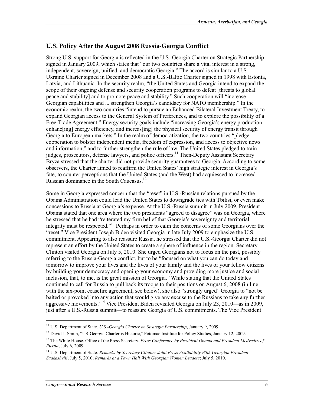#### **U.S. Policy After the August 2008 Russia-Georgia Conflict**

Strong U.S. support for Georgia is reflected in the U.S.-Georgia Charter on Strategic Partnership, signed in January 2009, which states that "our two countries share a vital interest in a strong, independent, sovereign, unified, and democratic Georgia." The accord is similar to a U.S.- Ukraine Charter signed in December 2008 and a U.S.-Baltic Charter signed in 1998 with Estonia, Latvia, and Lithuania. In the security realm, "the United States and Georgia intend to expand the scope of their ongoing defense and security cooperation programs to defeat [threats to global peace and stability] and to promote peace and stability." Such cooperation will "increase Georgian capabilities and ... strengthen Georgia's candidacy for NATO membership." In the economic realm, the two countries "intend to pursue an Enhanced Bilateral Investment Treaty, to expand Georgian access to the General System of Preferences, and to explore the possibility of a Free-Trade Agreement." Energy security goals include "increasing Georgia's energy production, enhanc[ing] energy efficiency, and increas[ing] the physical security of energy transit through Georgia to European markets." In the realm of democratization, the two countries "pledge cooperation to bolster independent media, freedom of expression, and access to objective news and information," and to further strengthen the rule of law. The United States pledged to train judges, prosecutors, defense lawyers, and police officers.<sup>11</sup> Then-Deputy Assistant Secretary Bryza stressed that the charter did not provide security guarantees to Georgia. According to some observers, the Charter aimed to reaffirm the United States' high strategic interest in Georgia's fate, to counter perceptions that the United States (and the West) had acquiesced to increased Russian dominance in the South Caucasus.<sup>12</sup>

Some in Georgia expressed concern that the "reset" in U.S.-Russian relations pursued by the Obama Administration could lead the United States to downgrade ties with Tbilisi, or even make concessions to Russia at Georgia's expense. At the U.S.-Russia summit in July 2009, President Obama stated that one area where the two presidents "agreed to disagree" was on Georgia, where he stressed that he had "reiterated my firm belief that Georgia's sovereignty and territorial integrity must be respected."13 Perhaps in order to calm the concerns of some Georgians over the "reset," Vice President Joseph Biden visited Georgia in late July 2009 to emphasize the U.S. commitment. Appearing to also reassure Russia, he stressed that the U.S.-Georgia Charter did not represent an effort by the United States to create a sphere of influence in the region. Secretary Clinton visited Georgia on July 5, 2010. She urged Georgians not to focus on the past, possibly referring to the Russia-Georgia conflict, but to be "focused on what you can do today and tomorrow to improve your lives and the lives of your family and the lives of your fellow citizens by building your democracy and opening your economy and providing more justice and social inclusion, that, to me, is the great mission of Georgia." While stating that the United States continued to call for Russia to pull back its troops to their positions on August 6, 2008 (in line with the six-point ceasefire agreement; see below), she also "strongly urged" Georgia to "not be baited or provoked into any action that would give any excuse to the Russians to take any further aggressive movements."14 Vice President Biden revisited Georgia on July 23, 2010—as in 2009, just after a U.S.-Russia summit—to reassure Georgia of U.S. commitments. The Vice President

 $\overline{a}$ 

<sup>11</sup> U.S. Department of State. *U.S.-Georgia Charter on Strategic Partnership*, January 9, 2009.

<sup>&</sup>lt;sup>12</sup> David J. Smith, "US-Georgia Charter is Historic," Potomac Institute for Policy Studies, January 12, 2009.

<sup>13</sup> The White House. Office of the Press Secretary. *Press Conference by President Obama and President Medvedev of Russia*, July 6, 2009.

<sup>14</sup> U.S. Department of State. *Remarks by Secretary Clinton: Joint Press Availability With Georgian President Saakashvili*, July 5, 2010; *Remarks at a Town Hall With Georgian Women Leaders*; July 5, 2010.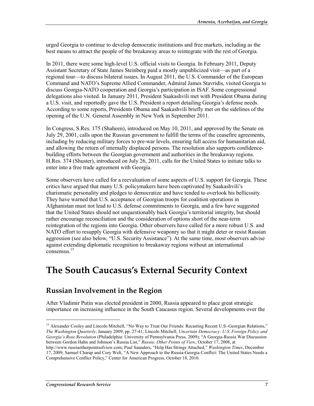urged Georgia to continue to develop democratic institutions and free markets, including as the best means to attract the people of the breakaway areas to reintegrate with the rest of Georgia.

In 2011, there were some high-level U.S. official visits to Georgia. In February 2011, Deputy Assistant Secretary of State James Steinberg paid a mostly unpublicized visit—as part of a regional tour—to discuss bilateral issues. In August 2011, the U.S. Commander of the European Command and NATO's Supreme Allied Commander, Admiral James Stavridis, visited Georgia to discuss Georgia-NATO cooperation and Georgia's participation in ISAF. Some congressional delegations also visited. In January 2011, President Saakashvili met with President Obama during a U.S. visit, and reportedly gave the U.S. President a report detailing Georgia's defense needs. According to some reports, Presidents Obama and Saakashvili briefly met on the sidelines of the opening of the U.N. General Assembly in New York in September 2011.

In Congress, S.Res. 175 (Shaheen), introduced on May 10, 2011, and approved by the Senate on July 29, 2001, calls upon the Russian government to fulfill the terms of the ceasefire agreements, including by reducing military forces to pre-war levels, ensuring full access for humanitarian aid, and allowing the return of internally displaced persons. The resolution also supports confidencebuilding efforts between the Georgian government and authorities in the breakaway regions. H.Res. 374 (Shuster), introduced on July 26, 2011, calls for the United States to initiate talks to enter into a free trade agreement with Georgia.

Some observers have called for a reevaluation of some aspects of U.S. support for Georgia. These critics have argued that many U.S. policymakers have been captivated by Saakashvili's charismatic personality and pledges to democratize and have tended to overlook his bellicosity. They have warned that U.S. acceptance of Georgian troops for coalition operations in Afghanistan must not lead to U.S. defense commitments to Georgia, and a few have suggested that the United States should not unquestionably back Georgia's territorial integrity, but should rather encourage reconciliation and the consideration of options short of the near-term reintegration of the regions into Georgia. Other observers have called for a more robust U.S. and NATO effort to resupply Georgia with defensive weaponry so that it might deter or resist Russian aggression (see also below, "U.S. Security Assistance"). At the same time, most observers advise against extending diplomatic recognition to breakaway regions without an international consensus.15

## **The South Caucasus's External Security Context**

#### **Russian Involvement in the Region**

After Vladimir Putin was elected president in 2000, Russia appeared to place great strategic importance on increasing influence in the South Caucasus region. Several developments over the

<sup>&</sup>lt;sup>15</sup> Alexander Cooley and Lincoln Mitchell, "No Way to Treat Our Friends: Recasting Recent U.S.-Georgian Relations," *The Washington Quarterly*, January 2009, pp. 27-41; Lincoln Mitchell, *Uncertain Democracy: U.S. Foreign Policy and Georgia's Rose Revolution* (Philadelphia: University of Pennsylvania Press, 2009); "A Georgia-Russia War Discussion between Gordon Hahn and Johnson's Russia List," *Russia: Other Points of View*, October 17, 2008, at

http://www.russiaotherpointsofview.com; Paul Saunders, "Help Has Strings Attached," *Washington Times*, December 17, 2009; Samuel Charap and Cory Welt, "A New Approach to the Russia-Georgia Conflict: The United States Needs a Comprehensive Conflict Policy," Center for American Progress, October 18, 2010.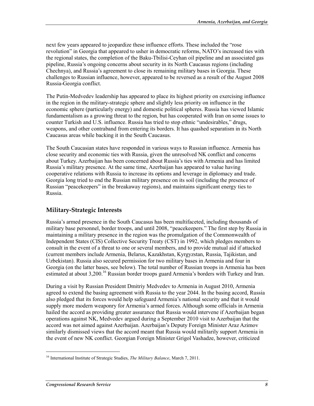next few years appeared to jeopardize these influence efforts. These included the "rose revolution" in Georgia that appeared to usher in democratic reforms, NATO's increased ties with the regional states, the completion of the Baku-Tbilisi-Ceyhan oil pipeline and an associated gas pipeline, Russia's ongoing concerns about security in its North Caucasus regions (including Chechnya), and Russia's agreement to close its remaining military bases in Georgia. These challenges to Russian influence, however, appeared to be reversed as a result of the August 2008 Russia-Georgia conflict.

The Putin-Medvedev leadership has appeared to place its highest priority on exercising influence in the region in the military-strategic sphere and slightly less priority on influence in the economic sphere (particularly energy) and domestic political spheres. Russia has viewed Islamic fundamentalism as a growing threat to the region, but has cooperated with Iran on some issues to counter Turkish and U.S. influence. Russia has tried to stop ethnic "undesirables," drugs, weapons, and other contraband from entering its borders. It has quashed separatism in its North Caucasus areas while backing it in the South Caucasus.

The South Caucasian states have responded in various ways to Russian influence. Armenia has close security and economic ties with Russia, given the unresolved NK conflict and concerns about Turkey. Azerbaijan has been concerned about Russia's ties with Armenia and has limited Russia's military presence. At the same time, Azerbaijan has appeared to value having cooperative relations with Russia to increase its options and leverage in diplomacy and trade. Georgia long tried to end the Russian military presence on its soil (including the presence of Russian "peacekeepers" in the breakaway regions), and maintains significant energy ties to Russia.

#### **Military-Strategic Interests**

Russia's armed presence in the South Caucasus has been multifaceted, including thousands of military base personnel, border troops, and until 2008, "peacekeepers." The first step by Russia in maintaining a military presence in the region was the promulgation of the Commonwealth of Independent States (CIS) Collective Security Treaty (CST) in 1992, which pledges members to consult in the event of a threat to one or several members, and to provide mutual aid if attacked (current members include Armenia, Belarus, Kazakhstan, Kyrgyzstan, Russia, Tajikistan, and Uzbekistan). Russia also secured permission for two military bases in Armenia and four in Georgia (on the latter bases, see below). The total number of Russian troops in Armenia has been estimated at about 3,200.<sup>16</sup> Russian border troops guard Armenia's borders with Turkey and Iran.

During a visit by Russian President Dmitriy Medvedev to Armenia in August 2010, Armenia agreed to extend the basing agreement with Russia to the year 2044. In the basing accord, Russia also pledged that its forces would help safeguard Armenia's national security and that it would supply more modern weaponry for Armenia's armed forces. Although some officials in Armenia hailed the accord as providing greater assurance that Russia would intervene if Azerbaijan began operations against NK, Medvedev argued during a September 2010 visit to Azerbaijan that the accord was not aimed against Azerbaijan. Azerbaijan's Deputy Foreign Minister Araz Azimov similarly dismissed views that the accord meant that Russia would militarily support Armenia in the event of new NK conflict. Georgian Foreign Minister Grigol Vashadze, however, criticized

<sup>16</sup> International Institute of Strategic Studies, *The Military Balance*, March 7, 2011.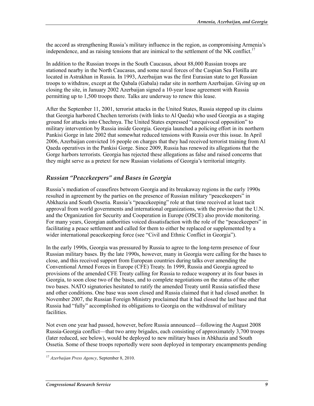the accord as strengthening Russia's military influence in the region, as compromising Armenia's independence, and as raising tensions that are inimical to the settlement of the NK conflict.<sup>17</sup>

In addition to the Russian troops in the South Caucasus, about 88,000 Russian troops are stationed nearby in the North Caucasus, and some naval forces of the Caspian Sea Flotilla are located in Astrakhan in Russia. In 1993, Azerbaijan was the first Eurasian state to get Russian troops to withdraw, except at the Qabala (Gabala) radar site in northern Azerbaijan. Giving up on closing the site, in January 2002 Azerbaijan signed a 10-year lease agreement with Russia permitting up to 1,500 troops there. Talks are underway to renew this lease.

After the September 11, 2001, terrorist attacks in the United States, Russia stepped up its claims that Georgia harbored Chechen terrorists (with links to Al Qaeda) who used Georgia as a staging ground for attacks into Chechnya. The United States expressed "unequivocal opposition" to military intervention by Russia inside Georgia. Georgia launched a policing effort in its northern Pankisi Gorge in late 2002 that somewhat reduced tensions with Russia over this issue. In April 2006, Azerbaijan convicted 16 people on charges that they had received terrorist training from Al Qaeda operatives in the Pankisi Gorge. Since 2009, Russia has renewed its allegations that the Gorge harbors terrorists. Georgia has rejected these allegations as false and raised concerns that they might serve as a pretext for new Russian violations of Georgia's territorial integrity.

#### *Russian "Peacekeepers" and Bases in Georgia*

Russia's mediation of ceasefires between Georgia and its breakaway regions in the early 1990s resulted in agreement by the parties on the presence of Russian military "peacekeepers" in Abkhazia and South Ossetia. Russia's "peacekeeping" role at that time received at least tacit approval from world governments and international organizations, with the proviso that the U.N. and the Organization for Security and Cooperation in Europe (OSCE) also provide monitoring. For many years, Georgian authorities voiced dissatisfaction with the role of the "peacekeepers" in facilitating a peace settlement and called for them to either be replaced or supplemented by a wider international peacekeeping force (see "Civil and Ethnic Conflict in Georgia").

In the early 1990s, Georgia was pressured by Russia to agree to the long-term presence of four Russian military bases. By the late 1990s, however, many in Georgia were calling for the bases to close, and this received support from European countries during talks over amending the Conventional Armed Forces in Europe (CFE) Treaty. In 1999, Russia and Georgia agreed to provisions of the amended CFE Treaty calling for Russia to reduce weaponry at its four bases in Georgia, to soon close two of the bases, and to complete negotiations on the status of the other two bases. NATO signatories hesitated to ratify the amended Treaty until Russia satisfied these and other conditions. One base was soon closed and Russia claimed that it had closed another. In November 2007, the Russian Foreign Ministry proclaimed that it had closed the last base and that Russia had "fully" accomplished its obligations to Georgia on the withdrawal of military facilities.

Not even one year had passed, however, before Russia announced—following the August 2008 Russia-Georgia conflict—that two army brigades, each consisting of approximately 3,700 troops (later reduced, see below), would be deployed to new military bases in Abkhazia and South Ossetia. Some of these troops reportedly were soon deployed in temporary encampments pending

<sup>17</sup> *Azerbaijan Press Agency*, September 8, 2010.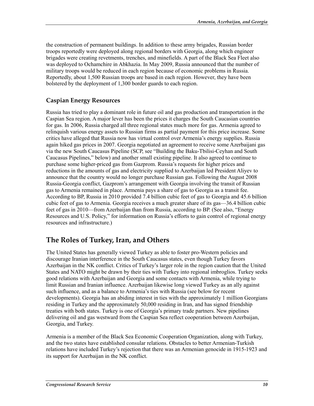the construction of permanent buildings. In addition to these army brigades, Russian border troops reportedly were deployed along regional borders with Georgia, along which engineer brigades were creating revetments, trenches, and minefields. A part of the Black Sea Fleet also was deployed to Ochamchire in Abkhazia. In May 2009, Russia announced that the number of military troops would be reduced in each region because of economic problems in Russia. Reportedly, about 1,500 Russian troops are based in each region. However, they have been bolstered by the deployment of 1,300 border guards to each region.

#### **Caspian Energy Resources**

Russia has tried to play a dominant role in future oil and gas production and transportation in the Caspian Sea region. A major lever has been the prices it charges the South Caucasian countries for gas. In 2006, Russia charged all three regional states much more for gas. Armenia agreed to relinquish various energy assets to Russian firms as partial payment for this price increase. Some critics have alleged that Russia now has virtual control over Armenia's energy supplies. Russia again hiked gas prices in 2007. Georgia negotiated an agreement to receive some Azerbaijani gas via the new South Caucasus Pipeline (SCP, see "Building the Baku-Tbilisi-Ceyhan and South Caucasus Pipelines," below) and another small existing pipeline. It also agreed to continue to purchase some higher-priced gas from Gazprom. Russia's requests for higher prices and reductions in the amounts of gas and electricity supplied to Azerbaijan led President Aliyev to announce that the country would no longer purchase Russian gas. Following the August 2008 Russia-Georgia conflict, Gazprom's arrangement with Georgia involving the transit of Russian gas to Armenia remained in place. Armenia pays a share of gas to Georgia as a transit fee. According to BP, Russia in 2010 provided 7.4 billion cubic feet of gas to Georgia and 45.6 billion cubic feet of gas to Armenia. Georgia receives a much greater share of its gas—36.4 billion cubic feet of gas in 2010—from Azerbaijan than from Russia, according to BP. (See also, "Energy Resources and U.S. Policy," for information on Russia's efforts to gain control of regional energy resources and infrastructure.)

### **The Roles of Turkey, Iran, and Others**

The United States has generally viewed Turkey as able to foster pro-Western policies and discourage Iranian interference in the South Caucasus states, even though Turkey favors Azerbaijan in the NK conflict. Critics of Turkey's larger role in the region caution that the United States and NATO might be drawn by their ties with Turkey into regional imbroglios. Turkey seeks good relations with Azerbaijan and Georgia and some contacts with Armenia, while trying to limit Russian and Iranian influence. Azerbaijan likewise long viewed Turkey as an ally against such influence, and as a balance to Armenia's ties with Russia (see below for recent developments). Georgia has an abiding interest in ties with the approximately 1 million Georgians residing in Turkey and the approximately 50,000 residing in Iran, and has signed friendship treaties with both states. Turkey is one of Georgia's primary trade partners. New pipelines delivering oil and gas westward from the Caspian Sea reflect cooperation between Azerbaijan, Georgia, and Turkey.

Armenia is a member of the Black Sea Economic Cooperation Organization, along with Turkey, and the two states have established consular relations. Obstacles to better Armenian-Turkish relations have included Turkey's rejection that there was an Armenian genocide in 1915-1923 and its support for Azerbaijan in the NK conflict.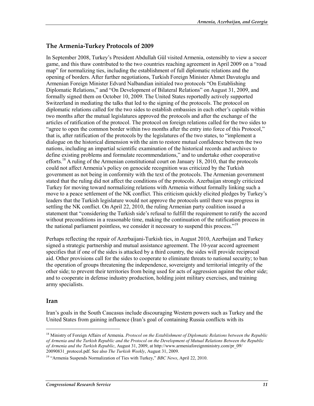#### **The Armenia-Turkey Protocols of 2009**

In September 2008, Turkey's President Abdullah Gül visited Armenia, ostensibly to view a soccer game, and this thaw contributed to the two countries reaching agreement in April 2009 on a "road map" for normalizing ties, including the establishment of full diplomatic relations and the opening of borders. After further negotiations, Turkish Foreign Minister Ahmet Davutoglu and Armenian Foreign Minister Edvard Nalbandian initialed two protocols "On Establishing Diplomatic Relations," and "On Development of Bilateral Relations" on August 31, 2009, and formally signed them on October 10, 2009. The United States reportedly actively supported Switzerland in mediating the talks that led to the signing of the protocols. The protocol on diplomatic relations called for the two sides to establish embassies in each other's capitals within two months after the mutual legislatures approved the protocols and after the exchange of the articles of ratification of the protocol. The protocol on foreign relations called for the two sides to "agree to open the common border within two months after the entry into force of this Protocol," that is, after ratification of the protocols by the legislatures of the two states, to "implement a dialogue on the historical dimension with the aim to restore mutual confidence between the two nations, including an impartial scientific examination of the historical records and archives to define existing problems and formulate recommendations," and to undertake other cooperative efforts.<sup>18</sup> A ruling of the Armenian constitutional court on January 18, 2010, that the protocols could not affect Armenia's policy on genocide recognition was criticized by the Turkish government as not being in conformity with the text of the protocols. The Armenian government stated that the ruling did not affect the conditions of the protocols. Azerbaijan strongly criticized Turkey for moving toward normalizing relations with Armenia without formally linking such a move to a peace settlement of the NK conflict. This criticism quickly elicited pledges by Turkey's leaders that the Turkish legislature would not approve the protocols until there was progress in settling the NK conflict. On April 22, 2010, the ruling Armenian party coalition issued a statement that "considering the Turkish side's refusal to fulfill the requirement to ratify the accord without preconditions in a reasonable time, making the continuation of the ratification process in the national parliament pointless, we consider it necessary to suspend this process."<sup>19</sup>

Perhaps reflecting the repair of Azerbaijani-Turkish ties, in August 2010, Azerbaijan and Turkey signed a strategic partnership and mutual assistance agreement. The 10-year accord agreement specifies that if one of the sides is attacked by a third country, the sides will provide reciprocal aid. Other provisions call for the sides to cooperate to eliminate threats to national security; to ban the operation of groups threatening the independence, sovereignty and territorial integrity of the other side; to prevent their territories from being used for acts of aggression against the other side; and to cooperate in defense industry production, holding joint military exercises, and training army specialists.

#### **Iran**

1

Iran's goals in the South Caucasus include discouraging Western powers such as Turkey and the United States from gaining influence (Iran's goal of containing Russia conflicts with its

<sup>&</sup>lt;sup>18</sup> Ministry of Foreign Affairs of Armenia. *Protocol on the Establishment of Diplomatic Relations between the Republic of Armenia and the Turkish Republic and the Protocol on the Development of Mutual Relations Between the Republic of Armenia and the Turkish Republic*, August 31, 2009, at http://www.armeniaforeignministry.com/pr\_09/ 20090831\_protocol.pdf. See also *The Turkish Weekly*, August 31, 2009.

<sup>19 &</sup>quot;Armenia Suspends Normalization of Ties with Turkey," *BBC News*, April 22, 2010.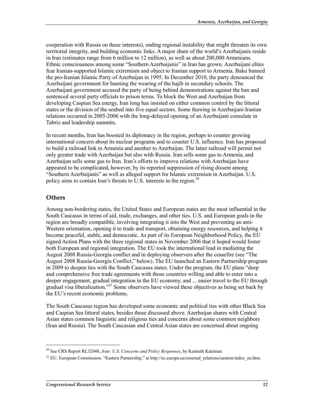cooperation with Russia on these interests), ending regional instability that might threaten its own territorial integrity, and building economic links. A major share of the world's Azerbaijanis reside in Iran (estimates range from 6 million to 12 million), as well as about 200,000 Armenians. Ethnic consciousness among some "Southern Azerbaijanis" in Iran has grown. Azerbaijani elites fear Iranian-supported Islamic extremism and object to Iranian support to Armenia. Baku banned the pro-Iranian Islamic Party of Azerbaijan in 1995. In December 2010, the party denounced the Azerbaijani government for banning the wearing of the hajib in secondary schools. The Azerbaijani government accused the party of being behind demonstrations against the ban and sentenced several party officials to prison terms. To block the West and Azerbaijan from developing Caspian Sea energy, Iran long has insisted on either common control by the littoral states or the division of the seabed into five equal sectors. Some thawing in Azerbaijani-Iranian relations occurred in 2005-2006 with the long-delayed opening of an Azerbaijani consulate in Tabriz and leadership summits.

In recent months, Iran has boosted its diplomacy in the region, perhaps to counter growing international concern about its nuclear programs and to counter U.S. influence. Iran has proposed to build a railroad link to Armenia and another to Azerbaijan. The latter railroad will permit not only greater trade with Azerbaijan but also with Russia. Iran sells some gas to Armenia, and Azerbaijan sells some gas to Iran. Iran's efforts to improve relations with Azerbaijan have appeared to be complicated, however, by its reported suppression of rising dissent among "Southern Azerbaijanis" as well as alleged support for Islamic extremism in Azerbaijan. U.S. policy aims to contain Iran's threats to U.S. interests in the region.<sup>20</sup>

#### **Others**

1

Among non-bordering states, the United States and European states are the most influential in the South Caucasus in terms of aid, trade, exchanges, and other ties. U.S. and European goals in the region are broadly compatible, involving integrating it into the West and preventing an anti-Western orientation, opening it to trade and transport, obtaining energy resources, and helping it become peaceful, stable, and democratic. As part of its European Neighborhood Policy, the EU signed Action Plans with the three regional states in November 2006 that it hoped would foster both European and regional integration. The EU took the international lead in mediating the August 2008 Russia-Georgia conflict and in deploying observers after the ceasefire (see "The August 2008 Russia-Georgia Conflict," below). The EU launched an Eastern Partnership program in 2009 to deepen ties with the South Caucasus states. Under the program, the EU plans "deep and comprehensive free trade agreements with those countries willing and able to enter into a deeper engagement, gradual integration in the EU economy, and ... easier travel to the EU through gradual visa liberalization."<sup>21</sup> Some observers have viewed these objectives as being set back by the EU's recent economic problems.

The South Caucasus region has developed some economic and political ties with other Black Sea and Caspian Sea littoral states, besides those discussed above. Azerbaijan shares with Central Asian states common linguistic and religious ties and concerns about some common neighbors (Iran and Russia). The South Caucasian and Central Asian states are concerned about ongoing

<sup>20</sup> See CRS Report RL32048, *Iran: U.S. Concerns and Policy Responses*, by Kenneth Katzman.

<sup>&</sup>lt;sup>21</sup> EU. European Commission. "Eastern Partnership," at http://ec.europa.eu/external\_relations/eastern/index\_en.htm.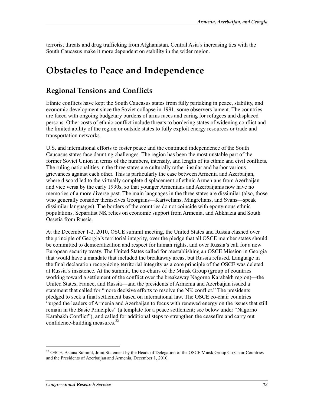terrorist threats and drug trafficking from Afghanistan. Central Asia's increasing ties with the South Caucasus make it more dependent on stability in the wider region.

## **Obstacles to Peace and Independence**

### **Regional Tensions and Conflicts**

Ethnic conflicts have kept the South Caucasus states from fully partaking in peace, stability, and economic development since the Soviet collapse in 1991, some observers lament. The countries are faced with ongoing budgetary burdens of arms races and caring for refugees and displaced persons. Other costs of ethnic conflict include threats to bordering states of widening conflict and the limited ability of the region or outside states to fully exploit energy resources or trade and transportation networks.

U.S. and international efforts to foster peace and the continued independence of the South Caucasus states face daunting challenges. The region has been the most unstable part of the former Soviet Union in terms of the numbers, intensity, and length of its ethnic and civil conflicts. The ruling nationalities in the three states are culturally rather insular and harbor various grievances against each other. This is particularly the case between Armenia and Azerbaijan, where discord led to the virtually complete displacement of ethnic Armenians from Azerbaijan and vice versa by the early 1990s, so that younger Armenians and Azerbaijanis now have no memories of a more diverse past. The main languages in the three states are dissimilar (also, those who generally consider themselves Georgians—Kartvelians, Mingrelians, and Svans—speak dissimilar languages). The borders of the countries do not coincide with eponymous ethnic populations. Separatist NK relies on economic support from Armenia, and Abkhazia and South Ossetia from Russia.

At the December 1-2, 2010, OSCE summit meeting, the United States and Russia clashed over the principle of Georgia's territorial integrity, over the pledge that all OSCE member states should be committed to democratization and respect for human rights, and over Russia's call for a new European security treaty. The United States called for reestablishing an OSCE Mission in Georgia that would have a mandate that included the breakaway areas, but Russia refused. Language in the final declaration recognizing territorial integrity as a core principle of the OSCE was deleted at Russia's insistence. At the summit, the co-chairs of the Minsk Group (group of countries working toward a settlement of the conflict over the breakaway Nagorno Karabakh region)—the United States, France, and Russia—and the presidents of Armenia and Azerbaijan issued a statement that called for "more decisive efforts to resolve the NK conflict." The presidents pledged to seek a final settlement based on international law. The OSCE co-chair countries "urged the leaders of Armenia and Azerbaijan to focus with renewed energy on the issues that still remain in the Basic Principles" (a template for a peace settlement; see below under "Nagorno Karabakh Conflict"), and called for additional steps to strengthen the ceasefire and carry out confidence-building measures. $^{22}$ 

<sup>&</sup>lt;sup>22</sup> OSCE, Astana Summit, Joint Statement by the Heads of Delegation of the OSCE Minsk Group Co-Chair Countries and the Presidents of Azerbaijan and Armenia, December 1, 2010.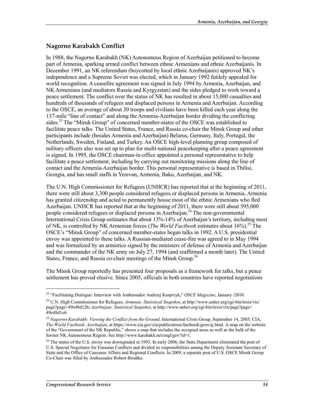#### **Nagorno Karabakh Conflict**

In 1988, the Nagorno Karabakh (NK) Autonomous Region of Azerbaijan petitioned to become part of Armenia, sparking armed conflict between ethnic Armenians and ethnic Azerbaijanis. In December 1991, an NK referendum (boycotted by local ethnic Azerbaijanis) approved NK's independence and a Supreme Soviet was elected, which in January 1992 futilely appealed for world recognition. A ceasefire agreement was signed in July 1994 by Armenia, Azerbaijan, and NK Armenians (and mediators Russia and Kyrgyzstan) and the sides pledged to work toward a peace settlement. The conflict over the status of NK has resulted in about 15,000 casualties and hundreds of thousands of refugees and displaced persons in Armenia and Azerbaijan. According to the OSCE, an average of about 30 troops and civilians have been killed each year along the 137-mile "line of contact" and along the Armenia-Azerbaijan border dividing the conflicting sides.<sup>23</sup> The "Minsk Group" of concerned member-states of the OSCE was established to facilitate peace talks. The United States, France, and Russia co-chair the Minsk Group and other participants include (besides Armenia and Azerbaijan) Belarus, Germany, Italy, Portugal, the Netherlands, Sweden, Finland, and Turkey. An OSCE high-level planning group composed of military officers also was set up to plan for multi-national peacekeeping after a peace agreement is signed. In 1995, the OSCE chairman-in-office appointed a personal representative to help facilitate a peace settlement, including by carrying out monitoring missions along the line of contact and the Armenia-Azerbaijan border. This personal representative is based in Tbilisi, Georgia, and has small staffs in Yerevan, Armenia, Baku, Azerbaijan, and NK.

The U.N. High Commissioner for Refugees (UNHCR) has reported that at the beginning of 2011, there were still about 3,300 people considered refugees or displaced persons in Armenia. Armenia has granted citizenship and acted to permanently house most of the ethnic Armenians who fled Azerbaijan. UNHCR has reported that at the beginning of 2011, there were still about 595,000 people considered refugees or displaced persons in Azerbaijan.24 The non-governmental International Crisis Group estimates that about 13%-14% of Azerbaijan's territory, including most of NK, is controlled by NK Armenian forces (*The World Factbook* estimates about 16%).<sup>25</sup> The OSCE's "Minsk Group" of concerned member-states began talks in 1992. A U.S. presidential envoy was appointed to these talks. A Russian-mediated cease-fire was agreed to in May 1994 and was formalized by an armistice signed by the ministers of defense of Armenia and Azerbaijan and the commander of the NK army on July 27, 1994 (and reaffirmed a month later). The United States, France, and Russia co-chair meetings of the Minsk Group.<sup>26</sup>

The Minsk Group reportedly has presented four proposals as a framework for talks, but a peace settlement has proved elusive. Since 2005, officials in both countries have reported negotiations

<sup>23 &</sup>quot;Facilitating Dialogue: Interview with Ambassador Andrzej Kasprzyk," *OSCE Magazine*, January /2010.

<sup>24</sup> U.N. High Commissioner for Refugees, *Armenia: Statistical Snapshot*, at http://www.unhcr.org/cgi-bin/texis/vtx/ page?page=49e48d126; *Azerbaijan: Statistical Snapshot*, at http://www.unhcr.org/cgi-bin/texis/vtx/page?page= 49e48d1e6.

<sup>25</sup> *Nagorno-Karabakh: Viewing the Conflict from the Ground*, International Crisis Group, September 14, 2005; CIA, *The World Factbook*. *Azerbaijan*, at https://www.cia.gov/cia/publications/factbook/geos/aj.html. A map on the website of the "Government of the NK Republic," shows a map that includes the occupied areas as well as the bulk of the former NK Autonomous Region. See http://www.karabakh.net/engl/gov?id=1.

<sup>&</sup>lt;sup>26</sup> The status of the U.S. envoy was downgraded in 1993. In early 2006, the State Department eliminated the post of U.S. Special Negotiator for Eurasian Conflicts and divided its responsibilities among the Deputy Assistant Secretary of State and the Office of Caucasus Affairs and Regional Conflicts. In 2009, a separate post of U.S. OSCE Minsk Group Co-Chair was filled by Ambassador Robert Brodtke.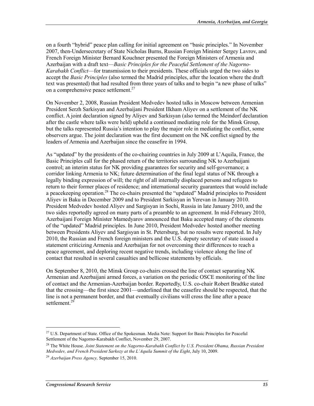on a fourth "hybrid" peace plan calling for initial agreement on "basic principles." In November 2007, then-Undersecretary of State Nicholas Burns, Russian Foreign Minister Sergey Lavrov, and French Foreign Minister Bernard Kouchner presented the Foreign Ministers of Armenia and Azerbaijan with a draft text—*Basic Principles for the Peaceful Settlement of the Nagorno-Karabakh Conflict*—for transmission to their presidents. These officials urged the two sides to accept the *Basic Principles* (also termed the Madrid principles, after the location where the draft text was presented) that had resulted from three years of talks and to begin "a new phase of talks" on a comprehensive peace settlement.<sup>27</sup>

On November 2, 2008, Russian President Medvedev hosted talks in Moscow between Armenian President Serzh Sarkisyan and Azerbaijani President Ilkham Aliyev on a settlement of the NK conflict. A joint declaration signed by Aliyev and Sarkisyan (also termed the Meindorf declaration after the castle where talks were held) upheld a continued mediating role for the Minsk Group, but the talks represented Russia's intention to play the major role in mediating the conflict, some observers argue. The joint declaration was the first document on the NK conflict signed by the leaders of Armenia and Azerbaijan since the ceasefire in 1994.

As "updated" by the presidents of the co-chairing countries in July 2009 at L'Aquila, France, the Basic Principles call for the phased return of the territories surrounding NK to Azerbaijani control; an interim status for NK providing guarantees for security and self-governance; a corridor linking Armenia to NK; future determination of the final legal status of NK through a legally binding expression of will; the right of all internally displaced persons and refugees to return to their former places of residence; and international security guarantees that would include a peacekeeping operation.<sup>28</sup> The co-chairs presented the "updated" Madrid principles to President Aliyev in Baku in December 2009 and to President Sarkisyan in Yerevan in January 2010. President Medvedev hosted Aliyev and Sargisyan in Sochi, Russia in late January 2010, and the two sides reportedly agreed on many parts of a preamble to an agreement. In mid-February 2010, Azerbaijani Foreign Minister Mamedyarov announced that Baku accepted many of the elements of the "updated" Madrid principles. In June 2010, President Medvedev hosted another meeting between Presidents Aliyev and Sargisyan in St. Petersburg, but no results were reported. In July 2010, the Russian and French foreign ministers and the U.S. deputy secretary of state issued a statement criticizing Armenia and Azerbaijan for not overcoming their differences to reach a peace agreement, and deploring recent negative trends, including violence along the line of contact that resulted in several casualties and bellicose statements by officials.

On September 8, 2010, the Minsk Group co-chairs crossed the line of contact separating NK Armenian and Azerbaijani armed forces, a variation on the periodic OSCE monitoring of the line of contact and the Armenian-Azerbaijan border. Reportedly, U.S. co-chair Robert Bradtke stated that the crossing—the first since 2001—underlined that the ceasefire should be respected, that the line is not a permanent border, and that eventually civilians will cross the line after a peace settlement.<sup>29</sup>

<sup>&</sup>lt;sup>27</sup> U.S. Department of State. Office of the Spokesman. Media Note: Support for Basic Principles for Peaceful Settlement of the Nagorno-Karabakh Conflict, November 29, 2007.

<sup>28</sup> The White House. *Joint Statement on the Nagorno-Karabakh Conflict by U.S. President Obama, Russian President Medvedev, and French President Sarkozy at the L'Aquila Summit of the Eight*, July 10, 2009.

<sup>29</sup> *Azerbaijan Press Agency,* September 15, 2010.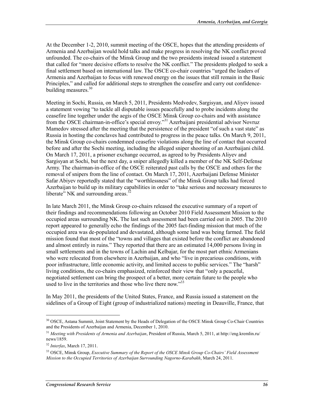At the December 1-2, 2010, summit meeting of the OSCE, hopes that the attending presidents of Armenia and Azerbaijan would hold talks and make progress in resolving the NK conflict proved unfounded. The co-chairs of the Minsk Group and the two presidents instead issued a statement that called for "more decisive efforts to resolve the NK conflict." The presidents pledged to seek a final settlement based on international law. The OSCE co-chair countries "urged the leaders of Armenia and Azerbaijan to focus with renewed energy on the issues that still remain in the Basic Principles," and called for additional steps to strengthen the ceasefire and carry out confidencebuilding measures.<sup>30</sup>

Meeting in Sochi, Russia, on March 5, 2011, Presidents Medvedev, Sargisyan, and Aliyev issued a statement vowing "to tackle all disputable issues peacefully and to probe incidents along the ceasefire line together under the aegis of the OSCE Minsk Group co-chairs and with assistance from the OSCE chairman-in-office's special envoy."31 Azerbaijani presidential advisor Novruz Mamedov stressed after the meeting that the persistence of the president "of such a vast state" as Russia in hosting the conclaves had contributed to progress in the peace talks. On March 9, 2011, the Minsk Group co-chairs condemned ceasefire violations along the line of contact that occurred before and after the Sochi meeting, including the alleged sniper shooting of an Azerbaijani child. On March 17, 2011, a prisoner exchange occurred, as agreed to by Presidents Aliyev and Sargisyan at Sochi, but the next day, a sniper allegedly killed a member of the NK Self-Defense Army. The chairman-in-office of the OSCE reiterated past calls by the OSCE and others for the removal of snipers from the line of contact. On March 17, 2011, Azerbaijani Defense Minister Safar Abiyev reportedly stated that the "worthlessness" of the Minsk Group talks had forced Azerbaijan to build up its military capabilities in order to "take serious and necessary measures to liberate" NK and surrounding areas. $32$ 

In late March 2011, the Minsk Group co-chairs released the executive summary of a report of their findings and recommendations following an October 2010 Field Assessment Mission to the occupied areas surrounding NK. The last such assessment had been carried out in 2005. The 2010 report appeared to generally echo the findings of the 2005 fact-finding mission that much of the occupied area was de-populated and devastated, although some land was being farmed. The field mission found that most of the "towns and villages that existed before the conflict are abandoned and almost entirely in ruins." They reported that there are an estimated 14,000 persons living in small settlements and in the towns of Lachin and Kelbajar, for the most part ethnic Armenians who were relocated from elsewhere in Azerbaijan, and who "live in precarious conditions, with poor infrastructure, little economic activity, and limited access to public services." The "harsh" living conditions, the co-chairs emphasized, reinforced their view that "only a peaceful, negotiated settlement can bring the prospect of a better, more certain future to the people who used to live in the territories and those who live there now."<sup>33</sup>

In May 2011, the presidents of the United States, France, and Russia issued a statement on the sidelines of a Group of Eight (group of industrialized nations) meeting in Deauville, France, that

<sup>&</sup>lt;sup>30</sup> OSCE. Astana Summit, Joint Statement by the Heads of Delegation of the OSCE Minsk Group Co-Chair Countries and the Presidents of Azerbaijan and Armenia, December 1, 2010.

<sup>31</sup> *Meeting with Presidents of Armenia and Azerbaijan*, President of Russia, March 5, 2011, at http://eng.kremlin.ru/ news/1859.

<sup>32</sup> *Interfax*, March 17, 2011.

<sup>33</sup> OSCE, Minsk Group, *Executive Summary of the Report of the OSCE Minsk Group Co-Chairs' Field Assessment Mission to the Occupied Territories of Azerbaijan Surrounding Nagorno-Karabakh*, March 24, 2011.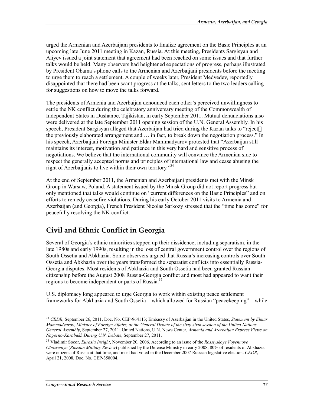urged the Armenian and Azerbaijani presidents to finalize agreement on the Basic Principles at an upcoming late June 2011 meeting in Kazan, Russia. At this meeting, Presidents Sargisyan and Aliyev issued a joint statement that agreement had been reached on some issues and that further talks would be held. Many observers had heightened expectations of progress, perhaps illustrated by President Obama's phone calls to the Armenian and Azerbaijani presidents before the meeting to urge them to reach a settlement. A couple of weeks later, President Medvedev, reportedly disappointed that there had been scant progress at the talks, sent letters to the two leaders calling for suggestions on how to move the talks forward.

The presidents of Armenia and Azerbaijan denounced each other's perceived unwillingness to settle the NK conflict during the celebratory anniversary meeting of the Commonwealth of Independent States in Dushanbe, Tajikistan, in early September 2011. Mutual denunciations also were delivered at the late September 2011 opening session of the U.N. General Assembly. In his speech, President Sargisyan alleged that Azerbaijan had tried during the Kazan talks to "reject[] the previously elaborated arrangement and … in fact, to break down the negotiation process." In his speech, Azerbaijani Foreign Minister Eldar Mammadyarov protested that "Azerbaijan still maintains its interest, motivation and patience in this very hard and sensitive process of negotiations. We believe that the international community will convince the Armenian side to respect the generally accepted norms and principles of international law and cease abusing the right of Azerbaijanis to live within their own territory."<sup>34</sup>

At the end of September 2011, the Armenian and Azerbaijani presidents met with the Minsk Group in Warsaw, Poland. A statement issued by the Minsk Group did not report progress but only mentioned that talks would continue on "current differences on the Basic Principles" and on efforts to remedy ceasefire violations. During his early October 2011 visits to Armenia and Azerbaijan (and Georgia), French President Nicolas Sarkozy stressed that the "time has come" for peacefully resolving the NK conflict.

### **Civil and Ethnic Conflict in Georgia**

Several of Georgia's ethnic minorities stepped up their dissidence, including separatism, in the late 1980s and early 1990s, resulting in the loss of central government control over the regions of South Ossetia and Abkhazia. Some observers argued that Russia's increasing controls over South Ossetia and Abkhazia over the years transformed the separatist conflicts into essentially Russia-Georgia disputes. Most residents of Abkhazia and South Ossetia had been granted Russian citizenship before the August 2008 Russia-Georgia conflict and most had appeared to want their regions to become independent or parts of Russia.<sup>35</sup>

U.S. diplomacy long appeared to urge Georgia to work within existing peace settlement frameworks for Abkhazia and South Ossetia—which allowed for Russian "peacekeeping"—while

<sup>34</sup> *CEDR*, September 26, 2011, Doc. No. CEP-964113; Embassy of Azerbaijan in the United States, *Statement by Elmar Mammadyarov, Minister of Foreign Affairs, at the General Debate of the sixty-sixth session of the United Nations General Assembly*, September 27, 2011; United Nations, U.N. News Center, *Armenia and Azerbaijan Express Views on Nagorno-Karabakh During U.N. Debate*, September 27, 2011.

<sup>35</sup> Vladimir Socor, *Eurasia Insight*, November 20, 2006. According to an issue of the *Rossiyskoye Voyennoye Obozreniye* (*Russian Military Review*) published by the Defense Ministry in early 2008, 80% of residents of Abkhazia were citizens of Russia at that time, and most had voted in the December 2007 Russian legislative election. *CEDR*, April 21, 2008, Doc. No. CEP-358004.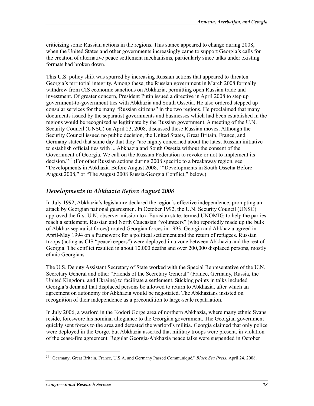criticizing some Russian actions in the regions. This stance appeared to change during 2008, when the United States and other governments increasingly came to support Georgia's calls for the creation of alternative peace settlement mechanisms, particularly since talks under existing formats had broken down.

This U.S. policy shift was spurred by increasing Russian actions that appeared to threaten Georgia's territorial integrity. Among these, the Russian government in March 2008 formally withdrew from CIS economic sanctions on Abkhazia, permitting open Russian trade and investment. Of greater concern, President Putin issued a directive in April 2008 to step up government-to-government ties with Abkhazia and South Ossetia. He also ordered stepped up consular services for the many "Russian citizens" in the two regions. He proclaimed that many documents issued by the separatist governments and businesses which had been established in the regions would be recognized as legitimate by the Russian government. A meeting of the U.N. Security Council (UNSC) on April 23, 2008, discussed these Russian moves. Although the Security Council issued no public decision, the United States, Great Britain, France, and Germany stated that same day that they "are highly concerned about the latest Russian initiative to establish official ties with ... Abkhazia and South Ossetia without the consent of the Government of Georgia. We call on the Russian Federation to revoke or not to implement its decision."36 (For other Russian actions during 2008 specific to a breakaway region, see "Developments in Abkhazia Before August 2008," "Developments in South Ossetia Before August 2008," or "The August 2008 Russia-Georgia Conflict," below.)

#### *Developments in Abkhazia Before August 2008*

In July 1992, Abkhazia's legislature declared the region's effective independence, prompting an attack by Georgian national guardsmen. In October 1992, the U.N. Security Council (UNSC) approved the first U.N. observer mission to a Eurasian state, termed UNOMIG, to help the parties reach a settlement. Russian and North Caucasian "volunteers" (who reportedly made up the bulk of Abkhaz separatist forces) routed Georgian forces in 1993. Georgia and Abkhazia agreed in April-May 1994 on a framework for a political settlement and the return of refugees. Russian troops (acting as CIS "peacekeepers") were deployed in a zone between Abkhazia and the rest of Georgia. The conflict resulted in about 10,000 deaths and over 200,000 displaced persons, mostly ethnic Georgians.

The U.S. Deputy Assistant Secretary of State worked with the Special Representative of the U.N. Secretary General and other "Friends of the Secretary General" (France, Germany, Russia, the United Kingdom, and Ukraine) to facilitate a settlement. Sticking points in talks included Georgia's demand that displaced persons be allowed to return to Abkhazia, after which an agreement on autonomy for Abkhazia would be negotiated. The Abkhazians insisted on recognition of their independence as a precondition to large-scale repatriation.

In July 2006, a warlord in the Kodori Gorge area of northern Abkhazia, where many ethnic Svans reside, foreswore his nominal allegiance to the Georgian government. The Georgian government quickly sent forces to the area and defeated the warlord's militia. Georgia claimed that only police were deployed in the Gorge, but Abkhazia asserted that military troops were present, in violation of the cease-fire agreement. Regular Georgia-Abkhazia peace talks were suspended in October

<sup>36 &</sup>quot;Germany, Great Britain, France, U.S.A. and Germany Passed Communiqué," *Black Sea Press*, April 24, 2008.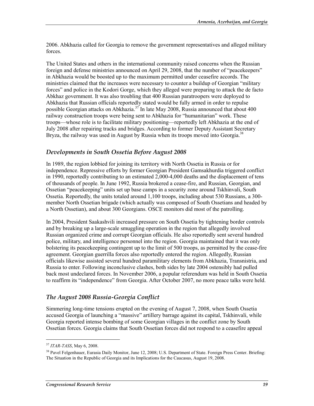2006. Abkhazia called for Georgia to remove the government representatives and alleged military forces.

The United States and others in the international community raised concerns when the Russian foreign and defense ministries announced on April 29, 2008, that the number of "peacekeepers" in Abkhazia would be boosted up to the maximum permitted under ceasefire accords. The ministries claimed that the increases were necessary to counter a buildup of Georgian "military forces" and police in the Kodori Gorge, which they alleged were preparing to attack the de facto Abkhaz government. It was also troubling that 400 Russian paratroopers were deployed to Abkhazia that Russian officials reportedly stated would be fully armed in order to repulse possible Georgian attacks on Abkhazia.<sup>37</sup> In late May 2008, Russia announced that about 400 railway construction troops were being sent to Abkhazia for "humanitarian" work. These troops—whose role is to facilitate military positioning—reportedly left Abkhazia at the end of July 2008 after repairing tracks and bridges. According to former Deputy Assistant Secretary Bryza, the railway was used in August by Russia when its troops moved into Georgia.<sup>38</sup>

#### *Developments in South Ossetia Before August 2008*

In 1989, the region lobbied for joining its territory with North Ossetia in Russia or for independence. Repressive efforts by former Georgian President Gamsakhurdia triggered conflict in 1990, reportedly contributing to an estimated 2,000-4,000 deaths and the displacement of tens of thousands of people. In June 1992, Russia brokered a cease-fire, and Russian, Georgian, and Ossetian "peacekeeping" units set up base camps in a security zone around Tskhinvali, South Ossetia. Reportedly, the units totaled around 1,100 troops, including about 530 Russians, a 300 member North Ossetian brigade (which actually was composed of South Ossetians and headed by a North Ossetian), and about 300 Georgians. OSCE monitors did most of the patrolling.

In 2004, President Saakashvili increased pressure on South Ossetia by tightening border controls and by breaking up a large-scale smuggling operation in the region that allegedly involved Russian organized crime and corrupt Georgian officials. He also reportedly sent several hundred police, military, and intelligence personnel into the region. Georgia maintained that it was only bolstering its peacekeeping contingent up to the limit of 500 troops, as permitted by the cease-fire agreement. Georgian guerrilla forces also reportedly entered the region. Allegedly, Russian officials likewise assisted several hundred paramilitary elements from Abkhazia, Transnistria, and Russia to enter. Following inconclusive clashes, both sides by late 2004 ostensibly had pulled back most undeclared forces. In November 2006, a popular referendum was held in South Ossetia to reaffirm its "independence" from Georgia. After October 2007, no more peace talks were held.

#### *The August 2008 Russia-Georgia Conflict*

Simmering long-time tensions erupted on the evening of August 7, 2008, when South Ossetia accused Georgia of launching a "massive" artillery barrage against its capital, Tskhinvali, while Georgia reported intense bombing of some Georgian villages in the conflict zone by South Ossetian forces. Georgia claims that South Ossetian forces did not respond to a ceasefire appeal

<sup>37</sup> *ITAR-TASS*, May 6, 2008.

<sup>&</sup>lt;sup>38</sup> Pavel Felgenhauer, Eurasia Daily Monitor, June 12, 2008; U.S. Department of State. Foreign Press Center. Briefing: The Situation in the Republic of Georgia and its Implications for the Caucasus, August 19, 2008.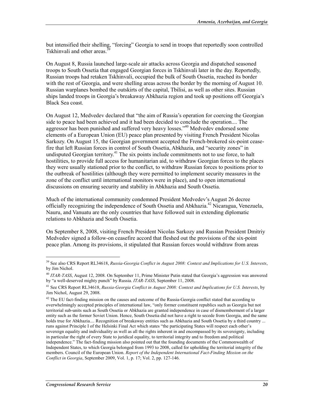but intensified their shelling, "forcing" Georgia to send in troops that reportedly soon controlled Tskhinvali and other areas.<sup>3</sup>

On August 8, Russia launched large-scale air attacks across Georgia and dispatched seasoned troops to South Ossetia that engaged Georgian forces in Tskhinvali later in the day. Reportedly, Russian troops had retaken Tskhinvali, occupied the bulk of South Ossetia, reached its border with the rest of Georgia, and were shelling areas across the border by the morning of August 10. Russian warplanes bombed the outskirts of the capital, Tbilisi, as well as other sites. Russian ships landed troops in Georgia's breakaway Abkhazia region and took up positions off Georgia's Black Sea coast.

On August 12, Medvedev declared that "the aim of Russia's operation for coercing the Georgian side to peace had been achieved and it had been decided to conclude the operation.... The aggressor has been punished and suffered very heavy losses."<sup>40</sup> Medvedev endorsed some elements of a European Union (EU) peace plan presented by visiting French President Nicolas Sarkozy. On August 15, the Georgian government accepted the French-brokered six-point ceasefire that left Russian forces in control of South Ossetia, Abkhazia, and "security zones" in undisputed Georgian territory.<sup>41</sup> The six points include commitments not to use force, to halt hostilities, to provide full access for humanitarian aid, to withdraw Georgian forces to the places they were usually stationed prior to the conflict, to withdraw Russian forces to positions prior to the outbreak of hostilities (although they were permitted to implement security measures in the zone of the conflict until international monitors were in place), and to open international discussions on ensuring security and stability in Abkhazia and South Ossetia.

Much of the international community condemned President Medvedev's August 26 decree officially recognizing the independence of South Ossetia and Abkhazia.<sup>42</sup> Nicaragua, Venezuela, Nauru, and Vanuatu are the only countries that have followed suit in extending diplomatic relations to Abkhazia and South Ossetia.

On September 8, 2008, visiting French President Nicolas Sarkozy and Russian President Dmitriy Medvedev signed a follow-on ceasefire accord that fleshed out the provisions of the six-point peace plan. Among its provisions, it stipulated that Russian forces would withdraw from areas

<sup>39</sup> See also CRS Report RL34618, *Russia-Georgia Conflict in August 2008: Context and Implications for U.S. Interests*, by Jim Nichol.

<sup>40</sup> *ITAR-TASS*, August 12, 2008. On September 11, Prime Minister Putin stated that Georgia's aggression was answered by "a well-deserved mighty punch" by Russia. *ITAR-TASS*, September 11, 2008.

<sup>41</sup> See CRS Report RL34618, *Russia-Georgia Conflict in August 2008: Context and Implications for U.S. Interests*, by Jim Nichol, August 29, 2008.

<sup>&</sup>lt;sup>42</sup> The EU fact-finding mission on the causes and outcome of the Russia-Georgia conflict stated that according to overwhelmingly accepted principles of international law, "only former constituent republics such as Georgia but not territorial sub-units such as South Ossetia or Abkhazia are granted independence in case of dismemberment of a larger entity such as the former Soviet Union. Hence, South Ossetia did not have a right to secede from Georgia, and the same holds true for Abkhazia.... Recognition of breakaway entities such as Abkhazia and South Ossetia by a third country ... runs against Principle I of the Helsinki Final Act which states "the participating States will respect each other's sovereign equality and individuality as well as all the rights inherent in and encompassed by its sovereignty, including in particular the right of every State to juridical equality, to territorial integrity and to freedom and political independence." The fact-finding mission also pointed out that the founding documents of the Commonwealth of Independent States, to which Georgia belonged from 1993 to 2008, called for upholding the territorial integrity of the members. Council of the European Union. *Report of the Independent International Fact-Finding Mission on the Conflict in Georgia*, September 2009, Vol. 1, p. 17; Vol. 2, pp. 127-146.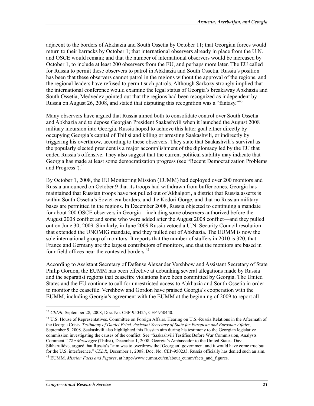adjacent to the borders of Abkhazia and South Ossetia by October 11; that Georgian forces would return to their barracks by October 1; that international observers already in place from the U.N. and OSCE would remain; and that the number of international observers would be increased by October 1, to include at least 200 observers from the EU, and perhaps more later. The EU called for Russia to permit these observers to patrol in Abkhazia and South Ossetia. Russia's position has been that these observers cannot patrol in the regions without the approval of the regions, and the regional leaders have refused to permit such patrols. Although Sarkozy strongly implied that the international conference would examine the legal status of Georgia's breakaway Abkhazia and South Ossetia, Medvedev pointed out that the regions had been recognized as independent by Russia on August 26, 2008, and stated that disputing this recognition was a "fantasy."43

Many observers have argued that Russia aimed both to consolidate control over South Ossetia and Abkhazia and to depose Georgian President Saakashvili when it launched the August 2008 military incursion into Georgia. Russia hoped to achieve this latter goal either directly by occupying Georgia's capital of Tbilisi and killing or arresting Saakashvili, or indirectly by triggering his overthrow, according to these observers. They state that Saakashvili's survival as the popularly elected president is a major accomplishment of the diplomacy led by the EU that ended Russia's offensive. They also suggest that the current political stability may indicate that Georgia has made at least some democratization progress (see "Recent Democratization Problems and Progress").<sup>44</sup>

By October 1, 2008, the EU Monitoring Mission (EUMM) had deployed over 200 monitors and Russia announced on October 9 that its troops had withdrawn from buffer zones. Georgia has maintained that Russian troops have not pulled out of Akhalgori, a district that Russia asserts is within South Ossetia's Soviet-era borders, and the Kodori Gorge, and that no Russian military bases are permitted in the regions. In December 2008, Russia objected to continuing a mandate for about 200 OSCE observers in Georgia—including some observers authorized before the August 2008 conflict and some who were added after the August 2008 conflict—and they pulled out on June 30, 2009. Similarly, in June 2009 Russia vetoed a U.N. Security Council resolution that extended the UNOMIG mandate, and they pulled out of Abkhazia. The EUMM is now the sole international group of monitors. It reports that the number of staffers in 2010 is 320, that France and Germany are the largest contributors of monitors, and that the monitors are based in four field offices near the contested borders.<sup>45</sup>

According to Assistant Secretary of Defense Alexander Vershbow and Assistant Secretary of State Philip Gordon, the EUMM has been effective at debunking several allegations made by Russia and the separatist regions that ceasefire violations have been committed by Georgia. The United States and the EU continue to call for unrestricted access to Abkhazia and South Ossetia in order to monitor the ceasefile. Vershbow and Gordon have praised Georgia's cooperation with the EUMM, including Georgia's agreement with the EUMM at the beginning of 2009 to report all

 $\overline{a}$ 

<sup>43</sup> *CEDR*, September 28, 2008, Doc. No. CEP-950425; CEP-950440.

<sup>44</sup> U.S. House of Representatives. Committee on Foreign Affairs. Hearing on U.S.-Russia Relations in the Aftermath of the Georgia Crisis. *Testimony of Daniel Fried, Assistant Secretary of State for European and Eurasian Affairs*, September 9, 2008. Saakashvili also highlighted this Russian aim during his testimony to the Georgian legislative commission investigating the causes of the conflict. See "Saakashvili Testifies Before War Commission, Analysts Comment," *The Messenger* (Tbilisi), December 1, 2008. Georgia's Ambassador to the United States, Davit Sikharulidze, argued that Russia's "aim was to overthrow the [Georgian] government and it would have come true but for the U.S. interference." *CEDR*, December 1, 2008, Doc. No. CEP-950233. Russia officially has denied such an aim.

<sup>45</sup> EUMM. *Mission Facts and Figures*, at http://www.eumm.eu/en/about\_eumm/facts\_and\_figures.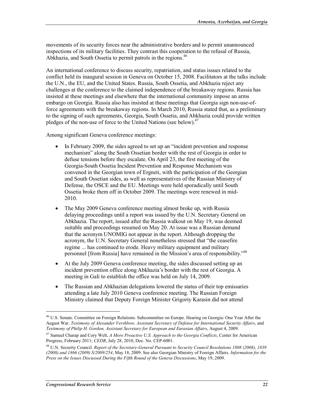movements of its security forces near the administrative borders and to permit unannounced inspections of its military facilities. They contrast this cooperation to the refusal of Russia, Abkhazia, and South Ossetia to permit patrols in the regions.<sup>46</sup>

An international conference to discuss security, repatriation, and status issues related to the conflict held its inaugural session in Geneva on October 15, 2008. Facilitators at the talks include the U.N., the EU, and the United States. Russia, South Ossetia, and Abkhazia reject any challenges at the conference to the claimed independence of the breakaway regions. Russia has insisted at these meetings and elsewhere that the international community impose an arms embargo on Georgia. Russia also has insisted at these meetings that Georgia sign non-use-offorce agreements with the breakaway regions. In March 2010, Russia stated that, as a preliminary to the signing of such agreements, Georgia, South Ossetia, and Abkhazia could provide written pledges of the non-use of force to the United Nations (see below).<sup>47</sup>

Among significant Geneva conference meetings:

- In February 2009, the sides agreed to set up an "incident prevention and response" mechanism" along the South Ossetian border with the rest of Georgia in order to defuse tensions before they escalate. On April 23, the first meeting of the Georgia-South Ossetia Incident Prevention and Response Mechanism was convened in the Georgian town of Ergneti, with the participation of the Georgian and South Ossetian sides, as well as representatives of the Russian Ministry of Defense, the OSCE and the EU. Meetings were held sporadically until South Ossetia broke them off in October 2009. The meetings were renewed in mid-2010.
- The May 2009 Geneva conference meeting almost broke up, with Russia delaying proceedings until a report was issued by the U.N. Secretary General on Abkhazia. The report, issued after the Russia walkout on May 19, was deemed suitable and proceedings resumed on May 20. At issue was a Russian demand that the acronym UNOMIG not appear in the report. Although dropping the acronym, the U.N. Secretary General nonetheless stressed that "the ceasefire regime ... has continued to erode. Heavy military equipment and military personnel [from Russia] have remained in the Mission's area of responsibility."48
- At the July 2009 Geneva conference meeting, the sides discussed setting up an incident prevention office along Abkhazia's border with the rest of Georgia. A meeting in Gali to establish the office was held on July 14, 2009.
- The Russian and Abkhazian delegations lowered the status of their top emissaries attending a late July 2010 Geneva conference meeting. The Russian Foreign Ministry claimed that Deputy Foreign Minister Grigoriy Karasin did not attend

<sup>46</sup> U.S. Senate. Committee on Foreign Relations. Subcommittee on Europe. Hearing on Georgia: One Year After the August War. *Testimony of Alexander Vershbow, Assistant Secretary of Defense for International Security Affairs*, and *Testimony of Philip H. Gordon, Assistant Secretary for European and Eurasian Affairs*, August 4, 2009.

<sup>47</sup> Samuel Charap and Cory Welt, *A More Proactive U.S. Approach to the Georgia Conflicts*, Center for American Progress, February 2011; *CEDR*, July 28, 2010, Doc. No. CEP-6001.

<sup>48</sup> U.N. Security Council. *Report of the Secretary-General Pursuant to Security Council Resolutions 1808 (2008), 1839 (2008) and 1866 (2009) S/2009/254*, May 18, 2009. See also Georgian Ministry of Foreign Affairs. *Information for the Press on the Issues Discussed During the Fifth Round of the Geneva Discussions*, May 19, 2009.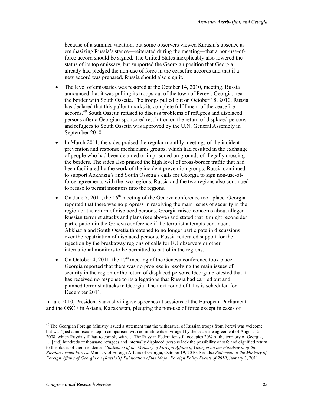because of a summer vacation, but some observers viewed Karasin's absence as emphasizing Russia's stance—reiterated during the meeting—that a non-use-offorce accord should be signed. The United States inexplicably also lowered the status of its top emissary, but supported the Georgian position that Georgia already had pledged the non-use of force in the ceasefire accords and that if a new accord was prepared, Russia should also sign it.

- The level of emissaries was restored at the October 14, 2010, meeting. Russia announced that it was pulling its troops out of the town of Perevi, Georgia, near the border with South Ossetia. The troops pulled out on October 18, 2010. Russia has declared that this pullout marks its complete fulfillment of the ceasefire accords.49 South Ossetia refused to discuss problems of refugees and displaced persons after a Georgian-sponsored resolution on the return of displaced persons and refugees to South Ossetia was approved by the U.N. General Assembly in September 2010.
- In March 2011, the sides praised the regular monthly meetings of the incident prevention and response mechanisms groups, which had resulted in the exchange of people who had been detained or imprisoned on grounds of illegally crossing the borders. The sides also praised the high level of cross-border traffic that had been facilitated by the work of the incident prevention groups. Russia continued to support Abkhazia's and South Ossetia's calls for Georgia to sign non-use-offorce agreements with the two regions. Russia and the two regions also continued to refuse to permit monitors into the regions.
- On June 7, 2011, the  $16<sup>th</sup>$  meeting of the Geneva conference took place. Georgia reported that there was no progress in resolving the main issues of security in the region or the return of displaced persons. Georgia raised concerns about alleged Russian terrorist attacks and plans (see above) and stated that it might reconsider participation in the Geneva conference if the terrorist attempts continued. Abkhazia and South Ossetia threatened to no longer participate in discussions over the repatriation of displaced persons. Russia reiterated support for the rejection by the breakaway regions of calls for EU observers or other international monitors to be permitted to patrol in the regions.
- On October 4, 2011, the  $17<sup>th</sup>$  meeting of the Geneva conference took place. Georgia reported that there was no progress in resolving the main issues of security in the region or the return of displaced persons. Georgia protested that it has received no response to its allegations that Russia had carried out and planned terrorist attacks in Georgia. The next round of talks is scheduled for December 2011.

In late 2010, President Saakashvili gave speeches at sessions of the European Parliament and the OSCE in Astana, Kazakhstan, pledging the non-use of force except in cases of

<sup>&</sup>lt;sup>49</sup> The Georgian Foreign Ministry issued a statement that the withdrawal of Russian troops from Perevi was welcome but was "just a miniscule step in comparison with commitments envisaged by the ceasefire agreement of August 12, 2008, which Russia still has to comply with…. The Russian Federation still occupies 20% of the territory of Georgia, … [and] hundreds of thousand refugees and internally displaced persons lack the possibility of safe and dignified return to the places of their residence." *Statement of the Ministry of Foreign Affairs of Georgia on the Withdrawal of the Russian Armed Forces*, Ministry of Foreign Affairs of Georgia, October 19, 2010. See also *Statement of the Ministry of Foreign Affairs of Georgia on [Russia's] Publication of the Major Foreign Policy Events of 2010*, January 3, 2011.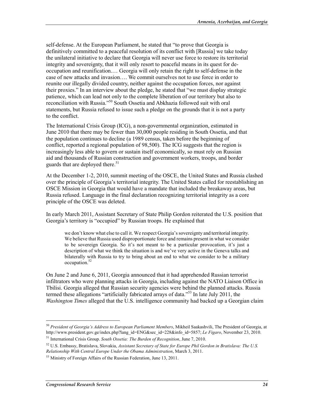self-defense. At the European Parliament, he stated that "to prove that Georgia is definitively committed to a peaceful resolution of its conflict with [Russia] we take today the unilateral initiative to declare that Georgia will never use force to restore its territorial integrity and sovereignty, that it will only resort to peaceful means in its quest for deoccupation and reunification.… Georgia will only retain the right to self-defense in the case of new attacks and invasion…. We commit ourselves not to use force in order to reunite our illegally divided country, neither against the occupation forces, nor against their proxies." In an interview about the pledge, he stated that "we must display strategic patience, which can lead not only to the complete liberation of our territory but also to reconciliation with Russia."50 South Ossetia and Abkhazia followed suit with oral statements, but Russia refused to issue such a pledge on the grounds that it is not a party to the conflict.

The International Crisis Group (ICG), a non-governmental organization, estimated in June 2010 that there may be fewer than 30,000 people residing in South Ossetia, and that the population continues to decline (a 1989 census, taken before the beginning of conflict, reported a regional population of 98,500). The ICG suggests that the region is increasingly less able to govern or sustain itself economically, so must rely on Russian aid and thousands of Russian construction and government workers, troops, and border guards that are deployed there.<sup>51</sup>

At the December 1-2, 2010, summit meeting of the OSCE, the United States and Russia clashed over the principle of Georgia's territorial integrity. The United States called for reestablishing an OSCE Mission in Georgia that would have a mandate that included the breakaway areas, but Russia refused. Language in the final declaration recognizing territorial integrity as a core principle of the OSCE was deleted.

In early March 2011, Assistant Secretary of State Philip Gordon reiterated the U.S. position that Georgia's territory is "occupied" by Russian troops. He explained that

we don't know what else to call it. We respect Georgia's sovereignty and territorial integrity. We believe that Russia used disproportionate force and remains present in what we consider to be sovereign Georgia. So it's not meant to be a particular provocation, it's just a description of what we think the situation is and we've very active in the Geneva talks and bilaterally with Russia to try to bring about an end to what we consider to be a military occupation.52

On June 2 and June 6, 2011, Georgia announced that it had apprehended Russian terrorist infiltrators who were planning attacks in Georgia, including against the NATO Liaison Office in Tbilisi. Georgia alleged that Russian security agencies were behind the planned attacks. Russia termed these allegations "artificially fabricated arrays of data."53 In late July 2011, the *Washington Times* alleged that the U.S. intelligence community had backed up a Georgian claim

 $\overline{a}$ 

<sup>50</sup> *President of Georgia's Address to European Parliament Members*, Mikheil Saakashvili, The President of Georgia, at http://www.president.gov.ge/index.php?lang\_id=ENG&sec\_id=228&info\_id=5857; *Le Figaro*, November 23, 2010.

<sup>51</sup> International Crisis Group. *South Ossetia: The Burden of Recognition*, June 7, 2010.

<sup>52</sup> U.S. Embassy, Bratislava, Slovakia, *Assistant Secretary of State for Europe Phil Gordon in Bratislava: The U.S. Relationship With Central Europe Under the Obama Administration*, March 3, 2011.

<sup>&</sup>lt;sup>53</sup> Ministry of Foreign Affairs of the Russian Federation, June 13, 2011.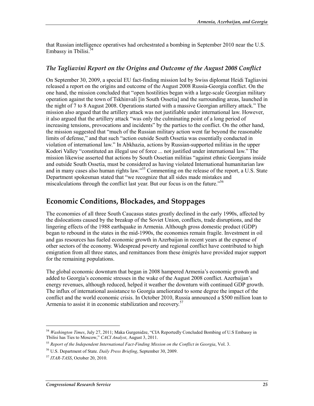that Russian intelligence operatives had orchestrated a bombing in September 2010 near the U.S. Embassy in Tbilisi. $54$ 

#### *The Tagliavini Report on the Origins and Outcome of the August 2008 Conflict*

On September 30, 2009, a special EU fact-finding mission led by Swiss diplomat Heidi Tagliavini released a report on the origins and outcome of the August 2008 Russia-Georgia conflict. On the one hand, the mission concluded that "open hostilities began with a large-scale Georgian military operation against the town of Tskhinvali [in South Ossetia] and the surrounding areas, launched in the night of 7 to 8 August 2008. Operations started with a massive Georgian artillery attack." The mission also argued that the artillery attack was not justifiable under international law. However, it also argued that the artillery attack "was only the culminating point of a long period of increasing tensions, provocations and incidents" by the parties to the conflict. On the other hand, the mission suggested that "much of the Russian military action went far beyond the reasonable limits of defense," and that such "action outside South Ossetia was essentially conducted in violation of international law." In Abkhazia, actions by Russian-supported militias in the upper Kodori Valley "constituted an illegal use of force ... not justified under international law." The mission likewise asserted that actions by South Ossetian militias "against ethnic Georgians inside and outside South Ossetia, must be considered as having violated International humanitarian law and in many cases also human rights law."<sup>55</sup> Commenting on the release of the report, a U.S. State Department spokesman stated that "we recognize that all sides made mistakes and miscalculations through the conflict last year. But our focus is on the future.<sup>556</sup>

### **Economic Conditions, Blockades, and Stoppages**

The economies of all three South Caucasus states greatly declined in the early 1990s, affected by the dislocations caused by the breakup of the Soviet Union, conflicts, trade disruptions, and the lingering effects of the 1988 earthquake in Armenia. Although gross domestic product (GDP) began to rebound in the states in the mid-1990s, the economies remain fragile. Investment in oil and gas resources has fueled economic growth in Azerbaijan in recent years at the expense of other sectors of the economy. Widespread poverty and regional conflict have contributed to high emigration from all three states, and remittances from these émigrés have provided major support for the remaining populations.

The global economic downturn that began in 2008 hampered Armenia's economic growth and added to Georgia's economic stresses in the wake of the August 2008 conflict. Azerbaijan's energy revenues, although reduced, helped it weather the downturn with continued GDP growth. The influx of international assistance to Georgia ameliorated to some degree the impact of the conflict and the world economic crisis. In October 2010, Russia announced a \$500 million loan to Armenia to assist it in economic stabilization and recovery.<sup>57</sup>

<sup>54</sup> *Washington Times*, July 27, 2011; Maka Gurgenidze, "CIA Reportedly Concluded Bombing of U.S Embassy in Tbilisi has Ties to Moscow," *CACI Analyst*, August 3, 2011.

<sup>55</sup> *Report of the Independent International Fact-Finding Mission on the Conflict in Georgia*, Vol. 3.

<sup>56</sup> U.S. Department of State. *Daily Press Briefing*, September 30, 2009.

<sup>57</sup> *ITAR-TASS*, October 20, 2010.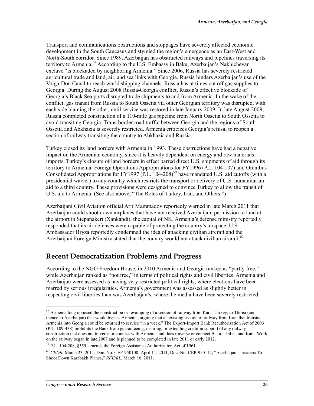Transport and communications obstructions and stoppages have severely affected economic development in the South Caucasus and stymied the region's emergence as an East-West and North-South corridor. Since 1989, Azerbaijan has obstructed railways and pipelines traversing its territory to Armenia.<sup>58</sup> According to the U.S. Embassy in Baku, Azerbaijan's Nakhichevan exclave "is blockaded by neighboring Armenia." Since 2006, Russia has severely restricted agricultural trade and land, air, and sea links with Georgia. Russia hinders Azerbaijan's use of the Volga-Don Canal to reach world shipping channels. Russia has at times cut off gas supplies to Georgia. During the August 2008 Russia-Georgia conflict, Russia's effective blockade of Georgia's Black Sea ports disrupted trade shipments to and from Armenia. In the wake of the conflict, gas transit from Russia to South Ossetia via other Georgian territory was disrupted, with each side blaming the other, until service was restored in late January 2009. In late August 2009, Russia completed construction of a 110-mile gas pipeline from North Ossetia to South Ossetia to avoid transiting Georgia. Trans-border road traffic between Georgia and the regions of South Ossetia and Abkhazia is severely restricted. Armenia criticizes Georgia's refusal to reopen a section of railway transiting the country to Abkhazia and Russia.

Turkey closed its land borders with Armenia in 1993. These obstructions have had a negative impact on the Armenian economy, since it is heavily dependent on energy and raw materials imports. Turkey's closure of land borders in effect barred direct U.S. shipments of aid through its territory to Armenia. Foreign Operations Appropriations for FY1996 (P.L. 104-107) and Omnibus Consolidated Appropriations for FY1997 (P.L.  $104-208$ )<sup>59</sup> have mandated U.S. aid cutoffs (with a presidential waiver) to any country which restricts the transport or delivery of U.S. humanitarian aid to a third country. These provisions were designed to convince Turkey to allow the transit of U.S. aid to Armenia. (See also above, "The Roles of Turkey, Iran, and Others.")

Azerbaijani Civil Aviation official Arif Mammadov reportedly warned in late March 2011 that Azerbaijan could shoot down airplanes that have not received Azerbaijani permission to land at the airport in Stepanakert (Xankandi), the capital of NK. Armenia's defense ministry reportedly responded that its air defenses were capable of protecting the country's airspace. U.S. Ambassador Bryza reportedly condemned the idea of attacking civilian aircraft and the Azerbaijani Foreign Ministry stated that the country would not attack civilian aircraft.<sup>60</sup>

### **Recent Democratization Problems and Progress**

According to the NGO Freedom House, in 2010 Armenia and Georgia ranked as "partly free," while Azerbaijan ranked as "not free," in terms of political rights and civil liberties. Armenia and Azerbaijan were assessed as having very restricted political rights, where elections have been marred by serious irregularities. Armenia's government was assessed as slightly better in respecting civil liberties than was Azerbaijan's, where the media have been severely restricted.

 $\overline{a}$ 

<sup>&</sup>lt;sup>58</sup> Armenia long opposed the construction or revamping of a section of railway from Kars, Turkey, to Tbilisi (and thence to Azerbaijan) that would bypass Armenia, arguing that an existing section of railway from Kars that transits Armenia into Georgia could be returned to service "in a week." The Export-Import Bank Reauthorization Act of 2006 (P.L. 109-438) prohibits the Bank from guaranteeing, insuring, or extending credit in support of any railway construction that does not traverse or connect with Armenia and does traverse or connect Baku, Tbilisi, and Kars. Work on the railway began in late 2007 and is planned to be completed in late 2011 or early 2012.

<sup>59</sup> P.L. 104-208, §559, amends the Foreign Assistance Authorization Act of 1961.

<sup>60</sup> *CEDR*, March 23, 2011, Doc. No. CEP-950100; April 11, 2011, Doc. No. CEP-950112; "Azerbaijan Threatens To Shoot Down Karabakh Planes," *RFE/RL*, March 16, 2011.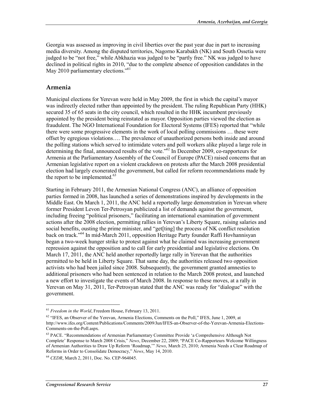Georgia was assessed as improving in civil liberties over the past year due in part to increasing media diversity. Among the disputed territories, Nagorno Karabakh (NK) and South Ossetia were judged to be "not free," while Abkhazia was judged to be "partly free." NK was judged to have declined in political rights in 2010, "due to the complete absence of opposition candidates in the May 2010 parliamentary elections."<sup>61</sup>

#### **Armenia**

Municipal elections for Yerevan were held in May 2009, the first in which the capital's mayor was indirectly elected rather than appointed by the president. The ruling Republican Party (HHK) secured 35 of 65 seats in the city council, which resulted in the HHK incumbent previously appointed by the president being reinstated as mayor. Opposition parties viewed the election as fraudulent. The NGO International Foundation for Electoral Systems (IFES) reported that "while there were some progressive elements in the work of local polling commissions … these were offset by egregious violations…. The prevalence of unauthorized persons both inside and around the polling stations which served to intimidate voters and poll workers alike played a large role in determining the final, announced results of the vote.<sup>562</sup> In December 2009, co-rapporteurs for Armenia at the Parliamentary Assembly of the Council of Europe (PACE) raised concerns that an Armenian legislative report on a violent crackdown on protests after the March 2008 presidential election had largely exonerated the government, but called for reform recommendations made by the report to be implemented.<sup>63</sup>

Starting in February 2011, the Armenian National Congress (ANC), an alliance of opposition parties formed in 2008, has launched a series of demonstrations inspired by developments in the Middle East. On March 1, 2011, the ANC held a reportedly large demonstration in Yerevan where former President Levon Ter-Petrosyan publicized a list of demands against the government, including freeing "political prisoners," facilitating an international examination of government actions after the 2008 election, permitting rallies in Yerevan's Liberty Square, raising salaries and social benefits, ousting the prime minister, and "get[ting] the process of NK conflict resolution back on track."64 In mid-March 2011, opposition Heritage Party founder Raffi Hovhannisyan began a two-week hunger strike to protest against what he claimed was increasing government repression against the opposition and to call for early presidential and legislative elections. On March 17, 2011, the ANC held another reportedly large rally in Yerevan that the authorities permitted to be held in Liberty Square. That same day, the authorities released two opposition activists who had been jailed since 2008. Subsequently, the government granted amnesties to additional prisoners who had been sentenced in relation to the March 2008 protest, and launched a new effort to investigate the events of March 2008. In response to these moves, at a rally in Yerevan on May 31, 2011, Ter-Petrosyan stated that the ANC was ready for "dialogue" with the government.

 $\overline{a}$ 

<sup>61</sup> *Freedom in the World*, Freedom House, February 13, 2011.

<sup>&</sup>lt;sup>62</sup> "IFES, an Observer of the Yerevan, Armenia Elections, Comments on the Poll," IFES, June 1, 2009, at http://www.ifes.org/Content/Publications/Comments/2009/Jun/IFES-an-Observer-of-the-Yerevan-Armenia-Elections-Comments-on-the-Poll.aspx.

<sup>&</sup>lt;sup>63</sup> PACE. "Recommendations of Armenian Parliamentary Committee Provide 'a Comprehensive Although Not Complete' Response to March 2008 Crisis," *News*, December 22, 2009; "PACE Co-Rapporteurs Welcome Willingness of Armenian Authorities to Draw Up Reform 'Roadmap,'" *News*, March 25, 2010; Armenia Needs a Clear Roadmap of Reforms in Order to Consolidate Democracy," *News*, May 14, 2010.

<sup>64</sup> *CEDR*, March 2, 2011, Doc. No. CEP-964045.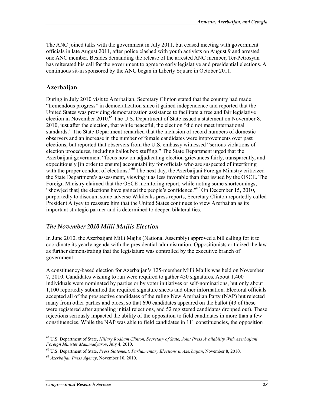The ANC joined talks with the government in July 2011, but ceased meeting with government officials in late August 2011, after police clashed with youth activists on August 9 and arrested one ANC member. Besides demanding the release of the arrested ANC member, Ter-Petrosyan has reiterated his call for the government to agree to early legislative and presidential elections. A continuous sit-in sponsored by the ANC began in Liberty Square in October 2011.

#### **Azerbaijan**

During in July 2010 visit to Azerbaijan, Secretary Clinton stated that the country had made "tremendous progress" in democratization since it gained independence and reported that the United States was providing democratization assistance to facilitate a free and fair legislative election in November 2010.<sup>65</sup> The U.S. Department of State issued a statement on November 8, 2010, just after the election, that while peaceful, the election "did not meet international standards." The State Department remarked that the inclusion of record numbers of domestic observers and an increase in the number of female candidates were improvements over past elections, but reported that observers from the U.S. embassy witnessed "serious violations of election procedures, including ballot box stuffing." The State Department urged that the Azerbaijani government "focus now on adjudicating election grievances fairly, transparently, and expeditiously [in order to ensure] accountability for officials who are suspected of interfering with the proper conduct of elections."<sup>66</sup> The next day, the Azerbaijani Foreign Ministry criticized the State Department's assessment, viewing it as less favorable than that issued by the OSCE. The Foreign Ministry claimed that the OSCE monitoring report, while noting some shortcomings, "show[ed that] the elections have gained the people's confidence."67 On December 15, 2010, purportedly to discount some adverse Wikileaks press reports, Secretary Clinton reportedly called President Aliyev to reassure him that the United States continues to view Azerbaijan as its important strategic partner and is determined to deepen bilateral ties.

#### *The November 2010 Milli Majlis Election*

In June 2010, the Azerbaijani Milli Majlis (National Assembly) approved a bill calling for it to coordinate its yearly agenda with the presidential administration. Oppositionists criticized the law as further demonstrating that the legislature was controlled by the executive branch of government.

A constituency-based election for Azerbaijan's 125-member Milli Majlis was held on November 7, 2010. Candidates wishing to run were required to gather 450 signatures. About 1,400 individuals were nominated by parties or by voter initiatives or self-nominations, but only about 1,100 reportedly submitted the required signature sheets and other information. Electoral officials accepted all of the prospective candidates of the ruling New Azerbaijan Party (NAP) but rejected many from other parties and blocs, so that 690 candidates appeared on the ballot (43 of these were registered after appealing initial rejections, and 52 registered candidates dropped out). These rejections seriously impacted the ability of the opposition to field candidates in more than a few constituencies. While the NAP was able to field candidates in 111 constituencies, the opposition

<sup>65</sup> U.S. Department of State, *Hillary Rodham Clinton, Secretary of State, Joint Press Availability With Azerbaijani Foreign Minister Mammadyarov*, July 4, 2010.

<sup>66</sup> U.S. Department of State, *Press Statement: Parliamentary Elections in Azerbaijan*, November 8, 2010.

<sup>67</sup> *Azerbaijan Press Agency*, November 10, 2010.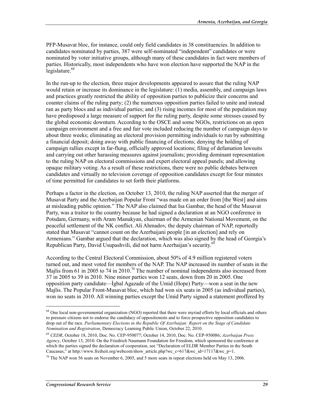PFP-Musavat bloc, for instance, could only field candidates in 38 constituencies. In addition to candidates nominated by parties, 387 were self-nominated "independent" candidates or were nominated by voter initiative groups, although many of these candidates in fact were members of parties. Historically, most independents who have won election have supported the NAP in the legislature.<sup>68</sup>

In the run-up to the election, three major developments appeared to assure that the ruling NAP would retain or increase its dominance in the legislature: (1) media, assembly, and campaign laws and practices greatly restricted the ability of opposition parties to publicize their concerns and counter claims of the ruling party; (2) the numerous opposition parties failed to unite and instead ran as party blocs and as individual parties; and (3) rising incomes for most of the population may have predisposed a large measure of support for the ruling party, despite some stresses caused by the global economic downturn. According to the OSCE and some NGOs, restrictions on an open campaign environment and a free and fair vote included reducing the number of campaign days to about three weeks; eliminating an electoral provision permitting individuals to run by submitting a financial deposit; doing away with public financing of elections; denying the holding of campaign rallies except in far-flung, officially approved locations; filing of defamation lawsuits and carrying out other harassing measures against journalists; providing dominant representation to the ruling NAP on electoral commissions and expert electoral appeal panels; and allowing opaque military voting. As a result of these restrictions, there were no public debates between candidates and virtually no television coverage of opposition candidates except for four minutes of time permitted for candidates to set forth their platforms.

Perhaps a factor in the election, on October 13, 2010, the ruling NAP asserted that the merger of Musavat Party and the Azerbaijan Popular Front "was made on an order from [the West] and aims at misleading public opinion." The NAP also claimed that Isa Gambar, the head of the Musavat Party, was a traitor to the country because he had signed a declaration at an NGO conference in Potsdam, Germany, with Aram Manukyan, chairman of the Armenian National Movement, on the peaceful settlement of the NK conflict. Ali Ahmadov, the deputy chairman of NAP, reportedly stated that Musavat "cannot count on the Azerbaijani people [in an election] and rely on Armenians." Gambar argued that the declaration, which was also signed by the head of Georgia's Republican Party, David Usupashvili, did not harm Azerbaijan's security.<sup>69</sup>

According to the Central Electoral Commission, about 50% of 4.9 million registered voters turned out, and most voted for members of the NAP. The NAP increased its number of seats in the Majlis from 61 in 2005 to 74 in 2010.<sup>70</sup> The number of nominal independents also increased from 37 in 2005 to 39 in 2010. Nine minor parties won 12 seats, down from 20 in 2005. One opposition party candidate—İgbal Agazade of the Umid (Hope) Party—won a seat in the new Majlis. The Popular Front-Musavat bloc, which had won six seats in 2005 (as individual parties), won no seats in 2010. All winning parties except the Umid Party signed a statement proffered by

 $\overline{a}$ 

<sup>&</sup>lt;sup>68</sup> One local non-governmental organization (NGO) reported that there were myriad efforts by local officials and others to pressure citizens not to endorse the candidacy of oppositionists and to force prospective opposition candidates to drop out of the race. *Parliamentary Elections in the Republic Of Azerbaijan: Report on the Stage of Candidate Nomination and Registration*, Democracy Learning Public Union, October 22, 2010.

<sup>69</sup> *CEDR*, October 18, 2010, Doc. No. CEP-950077; October 14, 2010, Doc. No. CEP-950086; *Azerbaijan Press Agency*, October 13, 2010. On the Friedrich Naumann Foundation for Freedom, which sponsored the conference at which the parties signed the declaration of cooperation, see "Declaration of ELDR Member Parties in the South Caucasus," at http://www.freiheit.org/webcom/show\_article.php?wc\_c=617&wc\_id=17117&wc\_p=1.

<sup>&</sup>lt;sup>70</sup> The NAP won 56 seats on November 6, 2005, and 5 more seats in repeat elections held on May 13, 2006.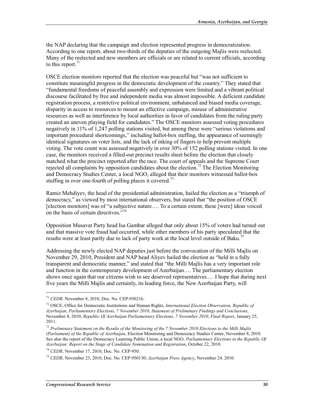the NAP declaring that the campaign and election represented progress in democratization. According to one report, about two-thirds of the deputies of the outgoing Majlis were reelected. Many of the reelected and new members are officials or are related to current officials, according to this report.<sup>71</sup>

OSCE election monitors reported that the election was peaceful but "was not sufficient to constitute meaningful progress in the democratic development of the country." They stated that "fundamental freedoms of peaceful assembly and expression were limited and a vibrant political discourse facilitated by free and independent media was almost impossible. A deficient candidate registration process, a restrictive political environment, unbalanced and biased media coverage, disparity in access to resources to mount an effective campaign, misuse of administrative resources as well as interference by local authorities in favor of candidates from the ruling party created an uneven playing field for candidates." The OSCE monitors assessed voting procedures negatively in 11% of 1,247 polling stations visited, but among these were "serious violations and important procedural shortcomings," including ballot-box stuffing, the appearance of seemingly identical signatures on voter lists, and the lack of inking of fingers to help prevent multiple voting. The vote count was assessed negatively in over 30% of 152 polling stations visited. In one case, the monitors received a filled-out precinct results sheet before the election that closely matched what the precinct reported after the race. The court of appeals and the Supreme Court rejected all complaints by opposition candidates about the election.<sup>72</sup> The Election Monitoring and Democracy Studies Center, a local NGO, alleged that their monitors witnessed ballot-box stuffing in over one-fourth of polling places it covered.<sup>73</sup>

Ramiz Mehdiyev, the head of the presidential administration, hailed the election as a "triumph of democracy," as viewed by most international observers, but stated that "the position of OSCE [election monitors] was of "a subjective nature…. To a certain extent, these [were] ideas voiced on the basis of certain directives."74

Opposition Musavat Party head Isa Gambar alleged that only about 15% of voters had turned out and that massive vote fraud had occurred, while other members of his party speculated that the results were at least partly due to lack of party work at the local level outside of Baku.<sup>75</sup>

Addressing the newly elected NAP deputies just before the convocation of the Milli Majlis on November 29, 2010, President and NAP head Aliyev hailed the election as "held in a fully transparent and democratic manner," and stated that "the Milli Majlis has a very important role and function in the contemporary development of Azerbaijan…. The parliamentary election shows once again that our citizens wish to see deserved representatives.… I hope that during next five years the Milli Majlis and certainly, its leading force, the New Azerbaijan Party, will

<sup>74</sup> *CEDR*, November 17, 2010, Doc. No. CEP-950.

 $\overline{a}$ 

<sup>71</sup> *CEDR,* November 8, 2010, Doc. No. CEP-950216.

<sup>72</sup> OSCE, Office for Democratic Institutions and Human Rights, *International Election Observation, Republic of Azerbaijan, Parliamentary Elections, 7 November 2010, Statement of Preliminary Findings and Conclusions*, November 8, 2010; *Republic Of Azerbaijan Parliamentary Elections, 7 November 2010, Final Report*, January 25, 2011.

<sup>73</sup> *Preliminary Statement on the Results of the Monitoring of the 7 November 2010 Elections to the Milli Majlis (Parliament) of the Republic of Azerbaijan*, Election Monitoring and Democracy Studies Center, November 8, 2010. See also the report of the Democracy Learning Public Union, a local NGO, *Parliamentary Elections in the Republic Of Azerbaijan: Report on the Stage of Candidate Nomination and Registration*, October 22, 2010.

<sup>75</sup> *CEDR*, November 23, 2010, Doc. No. CEP-950130; *Azerbaijan Press Agency*, November 24, 2010.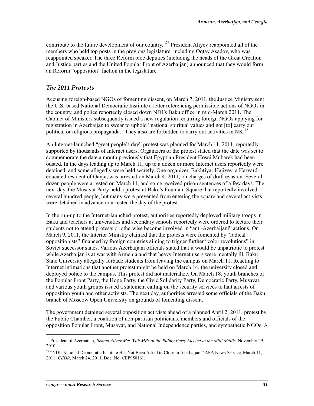contribute to the future development of our country."<sup>76</sup> President Aliyev reappointed all of the members who held top posts in the previous legislature, including Oqtay Asadov, who was reappointed speaker. The three Reform bloc deputies (including the heads of the Great Creation and Justice parties and the United Popular Front of Azerbaijan) announced that they would form an Reform "opposition" faction in the legislature.

#### *The 2011 Protests*

Accusing foreign-based NGOs of fomenting dissent, on March 7, 2011, the Justice Ministry sent the U.S.-based National Democratic Institute a letter referencing permissible actions of NGOs in the country, and police reportedly closed down NDI's Baku office in mid-March 2011. The Cabinet of Ministers subsequently issued a new regulation requiring foreign NGOs applying for registration in Azerbaijan to swear to uphold "national spiritual values and not [to] carry out political or religious propaganda." They also are forbidden to carry out activities in NK.<sup>77</sup>

An Internet-launched "great people's day" protest was planned for March 11, 2011, reportedly supported by thousands of Internet users. Organizers of the protest stated that the date was set to commemorate the date a month previously that Egyptian President Hosni Mubarek had been ousted. In the days leading up to March 11, up to a dozen or more Internet users reportedly were detained, and some allegedly were held secretly. One organizer, Bakhtiyar Hajiyev, a Harvardeducated resident of Ganja, was arrested on March 4, 2011, on charges of draft evasion. Several dozen people were arrested on March 11, and some received prison sentences of a few days. The next day, the Musavat Party held a protest at Baku's Fountain Square that reportedly involved several hundred people, but many were prevented from entering the square and several activists were detained in advance or arrested the day of the protest.

In the run-up to the Internet-launched protest, authorities reportedly deployed military troops in Baku and teachers at universities and secondary schools reportedly were ordered to lecture their students not to attend protests or otherwise become involved in "anti-Azerbaijani" actions. On March 9, 2011, the Interior Ministry claimed that the protests were fomented by "radical oppositionists" financed by foreign countries aiming to trigger further "color revolutions" in Soviet successor states. Various Azerbaijani officials stated that it would be unpatriotic to protest while Azerbaijan is at war with Armenia and that heavy Internet users were mentally ill. Baku State University allegedly forbade students from leaving the campus on March 11. Reacting to Internet intimations that another protest might be held on March 14, the university closed and deployed police to the campus. This protest did not materialize. On March 18, youth branches of the Popular Front Party, the Hope Party, the Civic Solidarity Party, Democratic Party, Musavat, and various youth groups issued a statement calling on the security services to halt arrests of opposition youth and other activists. The next day, authorities arrested some officials of the Baku branch of Moscow Open University on grounds of fomenting dissent.

The government detained several opposition activists ahead of a planned April 2, 2011, protest by the Public Chamber, a coalition of non-partisan politicians, members and officials of the opposition Popular Front, Musavat, and National Independence parties, and sympathetic NGOs. A

<sup>76</sup> President of Azerbaijan, *Ilkham Aliyev Met With MPs of the Ruling Party Elected to the Milli Majlis*, November 29, 2010.

<sup>77 &</sup>quot;NDI: National Democratic Institute Has Not Been Asked to Close in Azerbaijan," APA News Service, March 11, 2011; *CEDR*, March 24, 2011, Doc. No. CEP950161.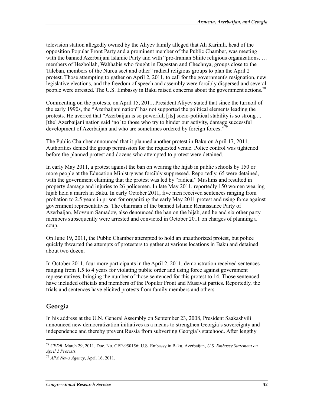television station allegedly owned by the Aliyev family alleged that Ali Karimli, head of the opposition Popular Front Party and a prominent member of the Public Chamber, was meeting with the banned Azerbaijani Islamic Party and with "pro-Iranian Shiite religious organizations, ... members of Hezbollah, Wahhabis who fought in Dagestan and Chechnya, groups close to the Taleban, members of the Nurcu sect and other" radical religious groups to plan the April 2 protest. Those attempting to gather on April 2, 2011, to call for the government's resignation, new legislative elections, and the freedom of speech and assembly were forcibly dispersed and several people were arrested. The U.S. Embassy in Baku raised concerns about the government actions.<sup>78</sup>

Commenting on the protests, on April 15, 2011, President Aliyev stated that since the turmoil of the early 1990s, the "Azerbaijani nation" has not supported the political elements leading the protests. He averred that "Azerbaijan is so powerful, [its] socio-political stability is so strong ... [the] Azerbaijani nation said 'no' to those who try to hinder our activity, damage successful development of Azerbaijan and who are sometimes ordered by foreign forces."<sup>79</sup>

The Public Chamber announced that it planned another protest in Baku on April 17, 2011. Authorities denied the group permission for the requested venue. Police control was tightened before the planned protest and dozens who attempted to protest were detained.

In early May 2011, a protest against the ban on wearing the hijab in public schools by 150 or more people at the Education Ministry was forcibly suppressed. Reportedly, 65 were detained, with the government claiming that the protest was led by "radical" Muslims and resulted in property damage and injuries to 26 policemen. In late May 2011, reportedly 150 women wearing hijab held a march in Baku. In early October 2011, five men received sentences ranging from probation to 2.5 years in prison for organizing the early May 2011 protest and using force against government representatives. The chairman of the banned Islamic Renaissance Party of Azerbaijan, Movsum Samadov, also denounced the ban on the hijab, and he and six other party members subsequently were arrested and convicted in October 2011 on charges of planning a coup.

On June 19, 2011, the Public Chamber attempted to hold an unauthorized protest, but police quickly thwarted the attempts of protesters to gather at various locations in Baku and detained about two dozen.

In October 2011, four more participants in the April 2, 2011, demonstration received sentences ranging from 1.5 to 4 years for violating public order and using force against government representatives, bringing the number of those sentenced for this protest to 14. Those sentenced have included officials and members of the Popular Front and Musavat parties. Reportedly, the trials and sentences have elicited protests from family members and others.

#### **Georgia**

1

In his address at the U.N. General Assembly on September 23, 2008, President Saakashvili announced new democratization initiatives as a means to strengthen Georgia's sovereignty and independence and thereby prevent Russia from subverting Georgia's statehood. After lengthy

<sup>78</sup> *CEDR*, March 29, 2011, Doc. No. CEP-950156; U.S. Embassy in Baku, Azerbaijan, *U.S. Embassy Statement on April 2 Protests*.

<sup>79</sup> *APA News Agency*, April 16, 2011.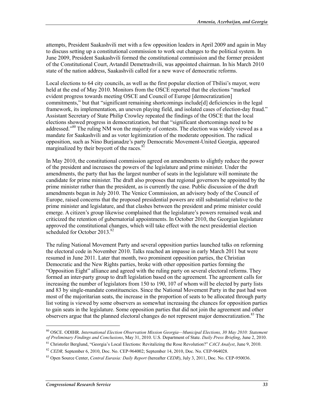attempts, President Saakashvili met with a few opposition leaders in April 2009 and again in May to discuss setting up a constitutional commission to work out changes to the political system. In June 2009, President Saakashvili formed the constitutional commission and the former president of the Constitutional Court, Avtandil Demetrashvili, was appointed chairman. In his March 2010 state of the nation address, Saakashvili called for a new wave of democratic reforms.

Local elections to 64 city councils, as well as the first popular election of Tbilisi's mayor, were held at the end of May 2010. Monitors from the OSCE reported that the elections "marked evident progress towards meeting OSCE and Council of Europe [democratization] commitments," but that "significant remaining shortcomings include[d] deficiencies in the legal framework, its implementation, an uneven playing field, and isolated cases of election-day fraud." Assistant Secretary of State Philip Crowley repeated the findings of the OSCE that the local elections showed progress in democratization, but that "significant shortcomings need to be addressed."<sup>80</sup> The ruling NM won the majority of contests. The election was widely viewed as a mandate for Saakashvili and as voter legitimization of the moderate opposition. The radical opposition, such as Nino Burjanadze's party Democratic Movement-United Georgia, appeared marginalized by their boycott of the races.<sup>81</sup>

In May 2010, the constitutional commission agreed on amendments to slightly reduce the power of the president and increases the powers of the legislature and prime minister. Under the amendments, the party that has the largest number of seats in the legislature will nominate the candidate for prime minister. The draft also proposes that regional governors be appointed by the prime minister rather than the president, as is currently the case. Public discussion of the draft amendments began in July 2010. The Venice Commission, an advisory body of the Council of Europe, raised concerns that the proposed presidential powers are still substantial relative to the prime minister and legislature, and that clashes between the president and prime minister could emerge. A citizen's group likewise complained that the legislature's powers remained weak and criticized the retention of gubernatorial appointments. In October 2010, the Georgian legislature approved the constitutional changes, which will take effect with the next presidential election scheduled for October 2013.<sup>82</sup>

The ruling National Movement Party and several opposition parties launched talks on reforming the electoral code in November 2010. Talks reached an impasse in early March 2011 but were resumed in June 2011. Later that month, two prominent opposition parties, the Christian Democratic and the New Rights parties, broke with other opposition parties forming the "Opposition Eight" alliance and agreed with the ruling party on several electoral reforms. They formed an inter-party group to draft legislation based on the agreement. The agreement calls for increasing the number of legislators from 150 to 190, 107 of whom will be elected by party lists and 83 by single-mandate constituencies. Since the National Movement Party in the past had won most of the majoritarian seats, the increase in the proportion of seats to be allocated through party list voting is viewed by some observers as somewhat increasing the chances for opposition parties to gain seats in the legislature. Some opposition parties that did not join the agreement and other observers argue that the planned electoral changes do not represent major democratization.<sup>83</sup> The

<sup>80</sup> OSCE. ODIHR. *International Election Observation Mission Georgia—Municipal Elections, 30 May 2010: Statement of Preliminary Findings and Conclusions*, May 31, 2010. U.S. Department of State. *Daily Press Briefing*, June 2, 2010.

<sup>81</sup> Christofer Berglund, "Georgia's Local Elections: Revitalizing the Rose Revolution?" *CACI Analyst*, June 9, 2010.

<sup>82</sup> *CEDR,* September 6, 2010, Doc. No. CEP-964002; September 14, 2010, Doc. No. CEP-964028.

<sup>83</sup> Open Source Center, *Central Eurasia: Daily Report* (hereafter *CEDR*), July 3, 2011, Doc. No. CEP-950036.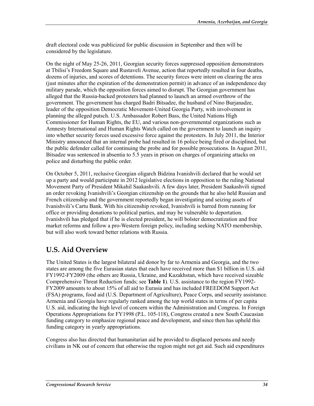draft electoral code was publicized for public discussion in September and then will be considered by the legislature.

On the night of May 25-26, 2011, Georgian security forces suppressed opposition demonstrators at Tbilisi's Freedom Square and Rustaveli Avenue, action that reportedly resulted in four deaths, dozens of injuries, and scores of detentions. The security forces were intent on clearing the area (just minutes after the expiration of the demonstration permit) in advance of an independence day military parade, which the opposition forces aimed to disrupt. The Georgian government has alleged that the Russia-backed protesters had planned to launch an armed overthrow of the government. The government has charged Badri Bitsadze, the husband of Nino Burjanadze, leader of the opposition Democratic Movement-United Georgia Party, with involvement in planning the alleged putsch. U.S. Ambassador Robert Bass, the United Nations High Commissioner for Human Rights, the EU, and various non-governmental organizations such as Amnesty International and Human Rights Watch called on the government to launch an inquiry into whether security forces used excessive force against the protesters. In July 2011, the Interior Ministry announced that an internal probe had resulted in 16 police being fired or disciplined, but the public defender called for continuing the probe and for possible prosecutions. In August 2011, Bitsadze was sentenced in absentia to 5.5 years in prison on charges of organizing attacks on police and disturbing the public order.

On October 5, 2011, reclusive Georgian oligarch Bidzina Ivanishvili declared that he would set up a party and would participate in 2012 legislative elections in opposition to the ruling National Movement Party of President Mikahil Saakashvili. A few days later, President Saakashvili signed an order revoking Ivanishvili's Georgian citizenship on the grounds that he also held Russian and French citizenship and the government reportedly began investigating and seizing assets of Ivanishvili's Cartu Bank. With his citizenship revoked, Ivanishvili is barred from running for office or providing donations to political parties, and may be vulnerable to deportation. Ivanishvili has pledged that if he is elected president, he will bolster democratization and free market reforms and follow a pro-Western foreign policy, including seeking NATO membership, but will also work toward better relations with Russia.

### **U.S. Aid Overview**

The United States is the largest bilateral aid donor by far to Armenia and Georgia, and the two states are among the five Eurasian states that each have received more than \$1 billion in U.S. aid FY1992-FY2009 (the others are Russia, Ukraine, and Kazakhstan, which have received sizeable Comprehensive Threat Reduction funds; see **Table 1**). U.S. assistance to the region FY1992- FY2009 amounts to about 15% of all aid to Eurasia and has included FREEDOM Support Act (FSA) programs, food aid (U.S. Department of Agriculture), Peace Corps, and security assistance. Armenia and Georgia have regularly ranked among the top world states in terms of per capita U.S. aid, indicating the high level of concern within the Administration and Congress. In Foreign Operations Appropriations for FY1998 (P.L. 105-118), Congress created a new South Caucasian funding category to emphasize regional peace and development, and since then has upheld this funding category in yearly appropriations.

Congress also has directed that humanitarian aid be provided to displaced persons and needy civilians in NK out of concern that otherwise the region might not get aid. Such aid expenditures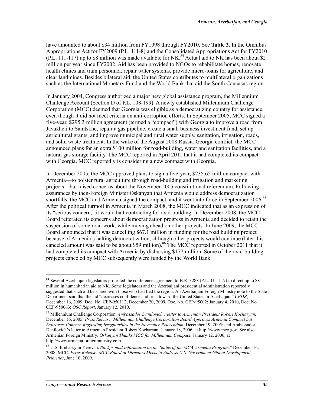have amounted to about \$34 million from FY1998 through FY2010. See **Table 3.** In the Omnibus Appropriations Act for FY2009 (P.L. 111-8) and the Consolidated Appropriations Act for FY2010  $(PL. 111-117)$  up to \$8 million was made available for NK.<sup>84</sup> Actual aid to NK has been about \$2 million per year since FY2002. Aid has been provided to NGOs to rehabilitate homes, renovate health clinics and train personnel, repair water systems, provide micro-loans for agriculture, and clear landmines. Besides bilateral aid, the United States contributes to multilateral organizations such as the International Monetary Fund and the World Bank that aid the South Caucasus region.

In January 2004, Congress authorized a major new global assistance program, the Millennium Challenge Account (Section D of P.L. 108-199). A newly established Millennium Challenge Corporation (MCC) deemed that Georgia was eligible as a democratizing country for assistance, even though it did not meet criteria on anti-corruption efforts. In September 2005, MCC signed a five-year, \$295.3 million agreement (termed a "compact") with Georgia to improve a road from Javakheti to Samtskhe, repair a gas pipeline, create a small business investment fund, set up agricultural grants, and improve municipal and rural water supply, sanitation, irrigation, roads, and solid waste treatment. In the wake of the August 2008 Russia-Georgia conflict, the MCC announced plans for an extra \$100 million for road-building, water and sanitation facilities, and a natural gas storage facility. The MCC reported in April 2011 that it had completed its compact with Georgia. MCC reportedly is considering a new compact with Georgia.

In December 2005, the MCC approved plans to sign a five-year, \$235.65 million compact with Armenia—to bolster rural agriculture through road-building and irrigation and marketing projects—but raised concerns about the November 2005 constitutional referendum. Following assurances by then-Foreign Minister Oskanyan that Armenia would address democratization shortfalls, the MCC and Armenia signed the compact, and it went into force in September 2006.<sup>85</sup> After the political turmoil in Armenia in March 2008, the MCC indicated that as an expression of its "serious concern," it would halt contracting for road-building. In December 2008, the MCC Board reiterated its concerns about democratization progress in Armenia and decided to retain the suspension of some road work, while moving ahead on other projects. In June 2009, the MCC Board announced that it was cancelling \$67.1 million in funding for the road building project because of Armenia's halting democratization, although other projects would continue (later this canceled amount was said to be about \$59 million).<sup>86</sup> The MCC reported in October 2011 that it had completed its compact with Armenia by disbursing \$177 million. Some of the road-building projects canceled by MCC subsequently were funded by the World Bank.

<sup>&</sup>lt;sup>84</sup> Several Azerbaijani legislators protested the conference agreement to H.R. 3288 (P.L. 111-117) to direct up to \$8 million in humanitarian aid to NK. Some legislators and the Azerbaijani presidential administration reportedly suggested that such aid be shared with those who had fled the region. An Azerbaijani Foreign Ministry note to the State Department said that the aid "decreases confidence and trust toward the United States in Azerbaijan." *CEDR*, December 16, 2009, Doc. No. CEP-950112; December 20, 2009, Doc. No. CEP-95002; January 4, 2010, Doc. No. CEP-950063; *OSC Report*, January 12, 2010.

<sup>85</sup> Millennium Challenge Corporation. *Ambassador Danilovich's letter to Armenian President Robert Kocharyan*, December 16, 2005; *Press Release: Millennium Challenge Corporation Board Approves Armenia Compact but Expresses Concern Regarding Irregularities in the November Referendum*, December 19, 2005; and Ambassador Danilovich's letter to Armenian President Robert Kocharyan, January 18, 2006, at http://www.mcc.gov. See also Armenian Foreign Ministry. *Oskanyan Thanks MCC for Millennium Compact*, January 12, 2006, at http://www.armeniaforeignministry.com.

<sup>86</sup> U.S. Embassy in Yerevan. *Background Information on the Status of the MCA-Armenia Program*," December 16, 2008; MCC. *Press Release: MCC Board of Directors Meets to Address U.S. Government Global Development Priorities*, June 10, 2009.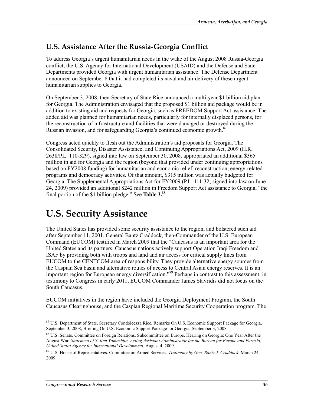### **U.S. Assistance After the Russia-Georgia Conflict**

To address Georgia's urgent humanitarian needs in the wake of the August 2008 Russia-Georgia conflict, the U.S. Agency for International Development (USAID) and the Defense and State Departments provided Georgia with urgent humanitarian assistance. The Defense Department announced on September 8 that it had completed its naval and air delivery of these urgent humanitarian supplies to Georgia.

On September 3, 2008, then-Secretary of State Rice announced a multi-year \$1 billion aid plan for Georgia. The Administration envisaged that the proposed \$1 billion aid package would be in addition to existing aid and requests for Georgia, such as FREEDOM Support Act assistance. The added aid was planned for humanitarian needs, particularly for internally displaced persons, for the reconstruction of infrastructure and facilities that were damaged or destroyed during the Russian invasion, and for safeguarding Georgia's continued economic growth.87

Congress acted quickly to flesh out the Administration's aid proposals for Georgia. The Consolidated Security, Disaster Assistance, and Continuing Appropriations Act, 2009 (H.R. 2638/P.L. 110-329), signed into law on September 30, 2008, appropriated an additional \$365 million in aid for Georgia and the region (beyond that provided under continuing appropriations based on FY2008 funding) for humanitarian and economic relief, reconstruction, energy-related programs and democracy activities. Of that amount, \$315 million was actually budgeted for Georgia. The Supplemental Appropriations Act for FY2009 (P.L. 111-32; signed into law on June 24, 2009) provided an additional \$242 million in Freedom Support Act assistance to Georgia, "the final portion of the \$1 billion pledge." See **Table 3.**88

## **U.S. Security Assistance**

The United States has provided some security assistance to the region, and bolstered such aid after September 11, 2001. General Bantz Craddock, then-Commander of the U.S. European Command (EUCOM) testified in March 2009 that the "Caucasus is an important area for the United States and its partners. Caucasus nations actively support Operation Iraqi Freedom and ISAF by providing both with troops and land and air access for critical supply lines from EUCOM to the CENTCOM area of responsibility. They provide alternative energy sources from the Caspian Sea basin and alternative routes of access to Central Asian energy reserves. It is an important region for European energy diversification."89 Perhaps in contrast to this assessment, in testimony to Congress in early 2011, EUCOM Commander James Stavridis did not focus on the South Caucasus.

EUCOM initiatives in the region have included the Georgia Deployment Program, the South Caucasus Clearinghouse, and the Caspian Regional Maritime Security Cooperation program. The

<sup>&</sup>lt;sup>87</sup> U.S. Department of State. Secretary Condoleezza Rice. Remarks On U.S. Economic Support Package for Georgia, September 3, 2008; Briefing On U.S. Economic Support Package for Georgia, September 3, 2008.

<sup>88</sup> U.S. Senate. Committee on Foreign Relations. Subcommittee on Europe. Hearing on Georgia: One Year After the August War. *Statement of S. Ken Yamashita, Acting Assistant Administrator for the Bureau for Europe and Eurasia, United States Agency for International Development*, August 4, 2009.

<sup>89</sup> U.S. House of Representatives. Committee on Armed Services. *Testimony by Gen. Bantz J. Craddock*, March 24, 2009.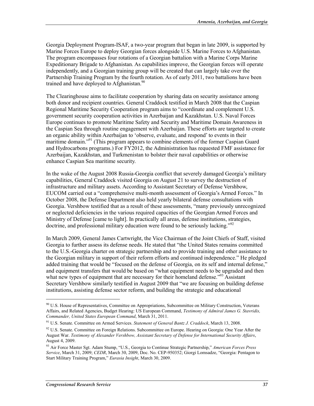Georgia Deployment Program-ISAF, a two-year program that began in late 2009, is supported by Marine Forces Europe to deploy Georgian forces alongside U.S. Marine Forces to Afghanistan. The program encompasses four rotations of a Georgian battalion with a Marine Corps Marine Expeditionary Brigade to Afghanistan. As capabilities improve, the Georgian forces will operate independently, and a Georgian training group will be created that can largely take over the Partnership Training Program by the fourth rotation. As of early 2011, two battalions have been trained and have deployed to Afghanistan.<sup>90</sup>

The Clearinghouse aims to facilitate cooperation by sharing data on security assistance among both donor and recipient countries. General Craddock testified in March 2008 that the Caspian Regional Maritime Security Cooperation program aims to "coordinate and complement U.S. government security cooperation activities in Azerbaijan and Kazakhstan. U.S. Naval Forces Europe continues to promote Maritime Safety and Security and Maritime Domain Awareness in the Caspian Sea through routine engagement with Azerbaijan. These efforts are targeted to create an organic ability within Azerbaijan to 'observe, evaluate, and respond' to events in their maritime domain."<sup>91</sup> (This program appears to combine elements of the former Caspian Guard and Hydrocarbons programs.) For FY2012, the Administration has requested FMF assistance for Azerbaijan, Kazakhstan, and Turkmenistan to bolster their naval capabilities or otherwise enhance Caspian Sea maritime security.

In the wake of the August 2008 Russia-Georgia conflict that severely damaged Georgia's military capabilities, General Craddock visited Georgia on August 21 to survey the destruction of infrastructure and military assets. According to Assistant Secretary of Defense Vershbow, EUCOM carried out a "comprehensive multi-month assessment of Georgia's Armed Forces." In October 2008, the Defense Department also held yearly bilateral defense consultations with Georgia. Vershbow testified that as a result of these assessments, "many previously unrecognized or neglected deficiencies in the various required capacities of the Georgian Armed Forces and Ministry of Defense [came to light]. In practically all areas, defense institutions, strategies, doctrine, and professional military education were found to be seriously lacking."<sup>92</sup>

In March 2009, General James Cartwright, the Vice Chairman of the Joint Chiefs of Staff, visited Georgia to further assess its defense needs. He stated that "the United States remains committed to the U.S.-Georgia charter on strategic partnership and to provide training and other assistance to the Georgian military in support of their reform efforts and continued independence." He pledged added training that would be "focused on the defense of Georgia, on its self and internal defense," and equipment transfers that would be based on "what equipment needs to be upgraded and then what new types of equipment that are necessary for their homeland defense.<sup> $93$ </sup> Assistant Secretary Vershbow similarly testified in August 2009 that "we are focusing on building defense institutions, assisting defense sector reform, and building the strategic and educational

<sup>&</sup>lt;sup>90</sup> U.S. House of Representatives, Committee on Appropriations, Subcommittee on Military Construction, Veterans Affairs, and Related Agencies, Budget Hearing: US European Command, *Testimony of Admiral James G. Stavridis, Commander, United States European Command*, March 31, 2011.

<sup>91</sup> U.S. Senate. Committee on Armed Services. *Statement of General Bantz J. Craddock*, March 13, 2008.

<sup>&</sup>lt;sup>92</sup> U.S. Senate. Committee on Foreign Relations. Subcommittee on Europe. Hearing on Georgia: One Year After the August War. *Testimony of Alexander Vershbow, Assistant Secretary of Defense for International Security Affairs*, August 4, 2009.

<sup>93</sup> Air Force Master Sgt. Adam Stump, "U.S., Georgia to Continue Strategic Partnership," *American Forces Press Service*, March 31, 2009; *CEDR*, March 30, 2009, Doc. No. CEP-950352; Giorgi Lomsadze, "Georgia: Pentagon to Start Military Training Program," *Eurasia Insight*, March 30, 2009.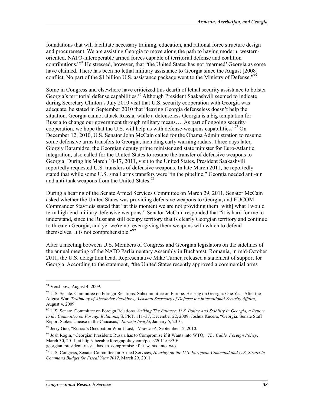foundations that will facilitate necessary training, education, and rational force structure design and procurement. We are assisting Georgia to move along the path to having modern, westernoriented, NATO-interoperable armed forces capable of territorial defense and coalition contributions."94 He stressed, however, that "the United States has not 'rearmed' Georgia as some have claimed. There has been no lethal military assistance to Georgia since the August [2008] conflict. No part of the \$1 billion U.S. assistance package went to the Ministry of Defense."<sup>95</sup>

Some in Congress and elsewhere have criticized this dearth of lethal security assistance to bolster Georgia's territorial defense capabilities.<sup>96</sup> Although President Saakashvili seemed to indicate during Secretary Clinton's July 2010 visit that U.S. security cooperation with Georgia was adequate, he stated in September 2010 that "leaving Georgia defenseless doesn't help the situation. Georgia cannot attack Russia, while a defenseless Georgia is a big temptation for Russia to change our government through military means…. As part of ongoing security cooperation, we hope that the U.S. will help us with defense-weapons capabilities."<sup>97</sup> On December 12, 2010, U.S. Senator John McCain called for the Obama Administration to resume some defensive arms transfers to Georgia, including early warning radars. Three days later, Giorgiy Baramidze, the Georgian deputy prime minister and state minister for Euro-Atlantic integration, also called for the United States to resume the transfer of defensive weapons to Georgia. During his March 10-17, 2011, visit to the United States, President Saakashvili reportedly requested U.S. transfers of defensive weapons. In late March 2011, he reportedly stated that while some U.S. small arms transfers were "in the pipeline," Georgia needed anti-air and anti-tank weapons from the United States.<sup>98</sup>

During a hearing of the Senate Armed Services Committee on March 29, 2011, Senator McCain asked whether the United States was providing defensive weapons to Georgia, and EUCOM Commander Stavridis stated that "at this moment we are not providing them [with] what I would term high-end military defensive weapons." Senator McCain responded that "it is hard for me to understand, since the Russians still occupy territory that is clearly Georgian territory and continue to threaten Georgia, and yet we're not even giving them weapons with which to defend themselves. It is not comprehensible."<sup>99</sup>

After a meeting between U.S. Members of Congress and Georgian legislators on the sidelines of the annual meeting of the NATO Parliamentary Assembly in Bucharest, Romania, in mid-October 2011, the U.S. delegation head, Representative Mike Turner, released a statement of support for Georgia. According to the statement, "the United States recently approved a commercial arms

<sup>94</sup> Vershbow, August 4, 2009.

<sup>&</sup>lt;sup>95</sup> U.S. Senate. Committee on Foreign Relations. Subcommittee on Europe. Hearing on Georgia: One Year After the August War. *Testimony of Alexander Vershbow, Assistant Secretary of Defense for International Security Affairs*, August 4, 2009.

<sup>96</sup> U.S. Senate. Committee on Foreign Relations. *Striking The Balance: U.S. Policy And Stability In Georgia, a Report to the Committee on Foreign Relations*, S. PRT. 111–37, December 22, 2009; Joshua Kucera, "Georgia: Senate Staff Report Stokes Unease in the Caucasus," *Eurasia Insight*, January 5, 2010.

<sup>97</sup> Jerry Guo, "Russia's Occupation Won't Last," *Newsweek*, September 12, 2010.

<sup>98</sup> Josh Rogin, "Georgian President: Russia has to Compromise if it Wants into WTO," *The Cable, Foreign Policy*, March 30, 2011, at http://thecable.foreignpolicy.com/posts/2011/03/30/

georgian\_president\_russia\_has\_to\_compromise\_if\_it\_wants\_into\_wto.

<sup>99</sup> U.S. Congress, Senate, Committee on Armed Services, *Hearing on the U.S. European Command and U.S. Strategic Command Budget for Fiscal Year 2012*, March 29, 2011.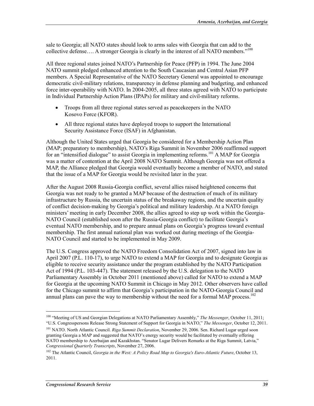sale to Georgia; all NATO states should look to arms sales with Georgia that can add to the collective defense.... A stronger Georgia is clearly in the interest of all NATO members."<sup>100</sup>

All three regional states joined NATO's Partnership for Peace (PFP) in 1994. The June 2004 NATO summit pledged enhanced attention to the South Caucasian and Central Asian PFP members. A Special Representative of the NATO Secretary General was appointed to encourage democratic civil-military relations, transparency in defense planning and budgeting, and enhanced force inter-operability with NATO. In 2004-2005, all three states agreed with NATO to participate in Individual Partnership Action Plans (IPAPs) for military and civil-military reforms.

- Troops from all three regional states served as peacekeepers in the NATO Kosovo Force (KFOR).
- All three regional states have deployed troops to support the International Security Assistance Force (ISAF) in Afghanistan.

Although the United States urged that Georgia be considered for a Membership Action Plan (MAP; preparatory to membership), NATO's Riga Summit in November 2006 reaffirmed support for an "intensified dialogue" to assist Georgia in implementing reforms.<sup>101</sup> A MAP for Georgia was a matter of contention at the April 2008 NATO Summit. Although Georgia was not offered a MAP, the Alliance pledged that Georgia would eventually become a member of NATO, and stated that the issue of a MAP for Georgia would be revisited later in the year.

After the August 2008 Russia-Georgia conflict, several allies raised heightened concerns that Georgia was not ready to be granted a MAP because of the destruction of much of its military infrastructure by Russia, the uncertain status of the breakaway regions, and the uncertain quality of conflict decision-making by Georgia's political and military leadership. At a NATO foreign ministers' meeting in early December 2008, the allies agreed to step up work within the Georgia-NATO Council (established soon after the Russia-Georgia conflict) to facilitate Georgia's eventual NATO membership, and to prepare annual plans on Georgia's progress toward eventual membership. The first annual national plan was worked out during meetings of the Georgia-NATO Council and started to be implemented in May 2009.

The U.S. Congress approved the NATO Freedom Consolidation Act of 2007, signed into law in April 2007 (P.L. 110-17), to urge NATO to extend a MAP for Georgia and to designate Georgia as eligible to receive security assistance under the program established by the NATO Participation Act of 1994 (P.L. 103-447). The statement released by the U.S. delegation to the NATO Parliamentary Assembly in October 2011 (mentioned above) called for NATO to extend a MAP for Georgia at the upcoming NATO Summit in Chicago in May 2012. Other observers have called for the Chicago summit to affirm that Georgia's participation in the NATO-Georgia Council and annual plans can pave the way to membership without the need for a formal MAP process.<sup>102</sup>

<sup>100 &</sup>quot;Meeting of US and Georgian Delegations at NATO Parliamentary Assembly," *The Messenger*, October 11, 2011; "U.S. Congresspersons Release Strong Statement of Support for Georgia in NATO," *The Messenger*, October 12, 2011.

<sup>101</sup> NATO. North Atlantic Council. *Riga Summit Declaration*, November 29, 2006. Sen. Richard Lugar urged soon granting Georgia a MAP and suggested that NATO's energy security would be facilitated by eventually offering NATO membership to Azerbaijan and Kazakhstan. "Senator Lugar Delivers Remarks at the Riga Summit, Latvia," *Congressional Quarterly Transcripts*, November 27, 2006.

<sup>&</sup>lt;sup>102</sup> The Atlantic Council, *Georgia in the West: A Policy Road Map to Georgia's Euro-Atlantic Future*, October 13, 2011.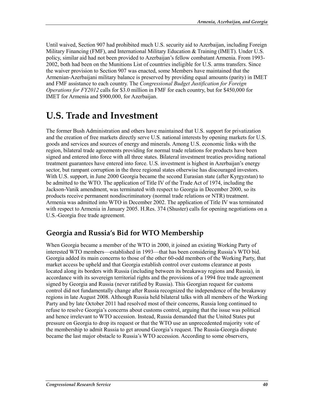Until waived, Section 907 had prohibited much U.S. security aid to Azerbaijan, including Foreign Military Financing (FMF), and International Military Education & Training (IMET). Under U.S. policy, similar aid had not been provided to Azerbaijan's fellow combatant Armenia. From 1993- 2002, both had been on the Munitions List of countries ineligible for U.S. arms transfers. Since the waiver provision to Section 907 was enacted, some Members have maintained that the Armenian-Azerbaijani military balance is preserved by providing equal amounts (parity) in IMET and FMF assistance to each country. The *Congressional Budget Justification for Foreign Operations for FY2012* calls for \$3.0 million in FMF for each country, but for \$450,000 for IMET for Armenia and \$900,000, for Azerbaijan.

## **U.S. Trade and Investment**

The former Bush Administration and others have maintained that U.S. support for privatization and the creation of free markets directly serve U.S. national interests by opening markets for U.S. goods and services and sources of energy and minerals. Among U.S. economic links with the region, bilateral trade agreements providing for normal trade relations for products have been signed and entered into force with all three states. Bilateral investment treaties providing national treatment guarantees have entered into force. U.S. investment is highest in Azerbaijan's energy sector, but rampant corruption in the three regional states otherwise has discouraged investors. With U.S. support, in June 2000 Georgia became the second Eurasian state (after Kyrgyzstan) to be admitted to the WTO. The application of Title IV of the Trade Act of 1974, including the Jackson-Vanik amendment, was terminated with respect to Georgia in December 2000, so its products receive permanent nondiscriminatory (normal trade relations or NTR) treatment. Armenia was admitted into WTO in December 2002. The application of Title IV was terminated with respect to Armenia in January 2005. H.Res. 374 (Shuster) calls for opening negotiations on a U.S.-Georgia free trade agreement.

### **Georgia and Russia's Bid for WTO Membership**

When Georgia became a member of the WTO in 2000, it joined an existing Working Party of interested WTO members—established in 1993—that has been considering Russia's WTO bid. Georgia added its main concerns to those of the other 60-odd members of the Working Party, that market access be upheld and that Georgia establish control over customs clearance at posts located along its borders with Russia (including between its breakaway regions and Russia), in accordance with its sovereign territorial rights and the provisions of a 1994 free trade agreement signed by Georgia and Russia (never ratified by Russia). This Georgian request for customs control did not fundamentally change after Russia recognized the independence of the breakaway regions in late August 2008. Although Russia held bilateral talks with all members of the Working Party and by late October 2011 had resolved most of their concerns, Russia long continued to refuse to resolve Georgia's concerns about customs control, arguing that the issue was political and hence irrelevant to WTO accession. Instead, Russia demanded that the United States put pressure on Georgia to drop its request or that the WTO use an unprecedented majority vote of the membership to admit Russia to get around Georgia's request. The Russia-Georgia dispute became the last major obstacle to Russia's WTO accession. According to some observers,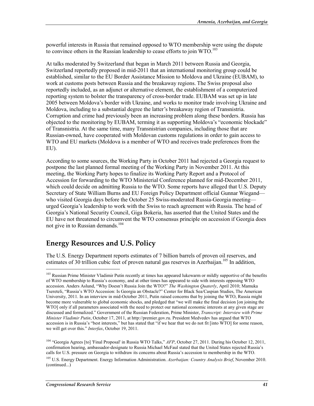powerful interests in Russia that remained opposed to WTO membership were using the dispute to convince others in the Russian leadership to cease efforts to join  $WTO$ <sup>103</sup>

At talks moderated by Switzerland that began in March 2011 between Russia and Georgia, Switzerland reportedly proposed in mid-2011 that an international monitoring group could be established, similar to the EU Border Assistance Mission to Moldova and Ukraine (EUBAM), to work at customs posts between Russia and the breakaway regions. The Swiss proposal also reportedly included, as an adjunct or alternative element, the establishment of a computerized reporting system to bolster the transparency of cross-border trade. EUBAM was set up in late 2005 between Moldova's border with Ukraine, and works to monitor trade involving Ukraine and Moldova, including to a substantial degree the latter's breakaway region of Transnistria. Corruption and crime had previously been an increasing problem along these borders. Russia has objected to the monitoring by EUBAM, terming it as supporting Moldova's "economic blockade" of Transnistria. At the same time, many Transnistrian companies, including those that are Russian-owned, have cooperated with Moldovan customs regulations in order to gain access to WTO and EU markets (Moldova is a member of WTO and receives trade preferences from the EU).

According to some sources, the Working Party in October 2011 had rejected a Georgia request to postpone the last planned formal meeting of the Working Party in November 2011. At this meeting, the Working Party hopes to finalize its Working Party Report and a Protocol of Accession for forwarding to the WTO Ministerial Conference planned for mid-December 2011, which could decide on admitting Russia to the WTO. Some reports have alleged that U.S. Deputy Secretary of State William Burns and EU Foreign Policy Department official Gunnar Wiegand who visited Georgia days before the October 25 Swiss-moderated Russia-Georgia meeting urged Georgia's leadership to work with the Swiss to reach agreement with Russia. The head of Georgia's National Security Council, Giga Bokeria, has asserted that the United States and the EU have not threatened to circumvent the WTO consensus principle on accession if Georgia does not give in to Russian demands.<sup>104</sup>

### **Energy Resources and U.S. Policy**

The U.S. Energy Department reports estimates of 7 billion barrels of proven oil reserves, and estimates of 30 trillion cubic feet of proven natural gas reserves in Azerbaijan.<sup>105</sup> In addition,

 $\overline{a}$ 

<sup>&</sup>lt;sup>103</sup> Russian Prime Minister Vladimir Putin recently at times has appeared lukewarm or mildly supportive of the benefits of WTO membership to Russia's economy, and at other times has appeared to side with interests opposing WTO accession. Anders Aslund, "Why Doesn't Russia Join the WTO?" *The Washington Quaterly*, April 2010; Mamuka Tsereteli, "Russia's WTO Accession: Is Georgia an Obstacle?" Center for Black Sea/Caspian Studies, The American University, 2011. In an interview in mid-October 2011, Putin raised concerns that by joining the WTO, Russia might become more vulnerable to global economic shocks, and pledged that "we will make the final decision [on joining the WTO] only if all parameters associated with the need to protect our national economic interests at any given stage are discussed and formalized." Government of the Russian Federation, Prime Minister, *Transcript: Interview with Prime Minister Vladimir Putin*, October 17, 2011, at http://premier.gov.ru. President Medvedev has argued that WTO accession is in Russia's "best interests," but has stated that "if we hear that we do not fit [into WTO] for some reason, we will get over this." *Interfax*, October 19, 2011.

<sup>&</sup>lt;sup>104</sup> "Georgia Agrees [to] 'Final Proposal' in Russia WTO Talks," AFP, October 27, 2011. During his October 12, 2011, confirmation hearing, ambassador-designate to Russia Michael McFaul stated that the United States rejected Russia's calls for U.S. pressure on Georgia to withdraw its concerns about Russia's accession to membership in the WTO.

<sup>105</sup> U.S. Energy Department. Energy Information Administration. *Azerbaijan: Country Analysis Brief*, November 2010. (continued...)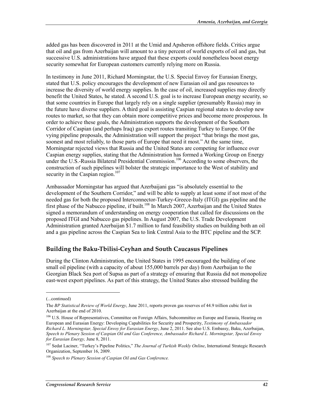added gas has been discovered in 2011 at the Umid and Apsheron offshore fields. Critics argue that oil and gas from Azerbaijan will amount to a tiny percent of world exports of oil and gas, but successive U.S. administrations have argued that these exports could nonetheless boost energy security somewhat for European customers currently relying more on Russia.

In testimony in June 2011, Richard Morningstar, the U.S. Special Envoy for Eurasian Energy, stated that U.S. policy encourages the development of new Eurasian oil and gas resources to increase the diversity of world energy supplies. In the case of oil, increased supplies may directly benefit the United States, he stated. A second U.S. goal is to increase European energy security, so that some countries in Europe that largely rely on a single supplier (presumably Russia) may in the future have diverse suppliers. A third goal is assisting Caspian regional states to develop new routes to market, so that they can obtain more competitive prices and become more prosperous. In order to achieve these goals, the Administration supports the development of the Southern Corridor of Caspian (and perhaps Iraq) gas export routes transiting Turkey to Europe. Of the vying pipeline proposals, the Administration will support the project "that brings the most gas, soonest and most reliably, to those parts of Europe that need it most." At the same time, Morningstar rejected views that Russia and the United States are competing for influence over Caspian energy supplies, stating that the Administration has formed a Working Group on Energy under the U.S.-Russia Bilateral Presidential Commission.<sup>106</sup> According to some observers, the construction of such pipelines will bolster the strategic importance to the West of stability and security in the Caspian region. $107$ 

Ambassador Morningstar has argued that Azerbaijani gas "is absolutely essential to the development of the Southern Corridor," and will be able to supply at least some if not most of the needed gas for both the proposed Interconnector-Turkey-Greece-Italy (ITGI) gas pipeline and the first phase of the Nabucco pipeline, if built.<sup>108</sup> In March 2007, Azerbaijan and the United States signed a memorandum of understanding on energy cooperation that called for discussions on the proposed ITGI and Nabucco gas pipelines. In August 2007, the U.S. Trade Development Administration granted Azerbaijan \$1.7 million to fund feasibility studies on building both an oil and a gas pipeline across the Caspian Sea to link Central Asia to the BTC pipeline and the SCP.

#### **Building the Baku-Tbilisi-Ceyhan and South Caucasus Pipelines**

During the Clinton Administration, the United States in 1995 encouraged the building of one small oil pipeline (with a capacity of about 155,000 barrels per day) from Azerbaijan to the Georgian Black Sea port of Supsa as part of a strategy of ensuring that Russia did not monopolize east-west export pipelines. As part of this strategy, the United States also stressed building the

 $\overline{a}$ 

<sup>(...</sup>continued)

The *BP Statistical Review of World Energy*, June 2011, reports proven gas reserves of 44.9 trillion cubic feet in Azerbaijan at the end of 2010.

<sup>&</sup>lt;sup>106</sup> U.S. House of Representatives, Committee on Foreign Affairs, Subcommittee on Europe and Eurasia, Hearing on European and Eurasian Energy: Developing Capabilities for Security and Prosperity, *Testimony of Ambassador Richard L. Morningstar, Special Envoy for Eurasian Energy*, June 2, 2011. See also U.S. Embassy, Baku, Azerbaijan, *Speech to Plenary Session of Caspian Oil and Gas Conference, Ambassador Richard L. Morningstar, Special Envoy for Eurasian Energy,* June 8, 2011.

<sup>107</sup> Sedat Laciner, "Turkey's Pipeline Politics," *The Journal of Turkish Weekly Online*, International Strategic Research Organization, September 16, 2009.

<sup>108</sup> *Speech to Plenary Session of Caspian Oil and Gas Conference.*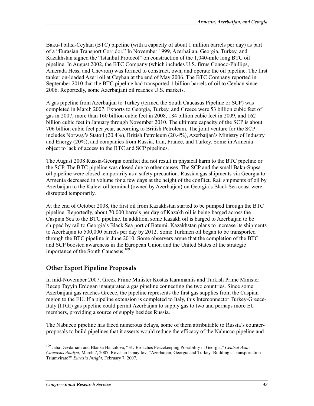Baku-Tbilisi-Ceyhan (BTC) pipeline (with a capacity of about 1 million barrels per day) as part of a "Eurasian Transport Corridor." In November 1999, Azerbaijan, Georgia, Turkey, and Kazakhstan signed the "Istanbul Protocol" on construction of the 1,040-mile long BTC oil pipeline. In August 2002, the BTC Company (which includes U.S. firms Conoco-Phillips, Amerada Hess, and Chevron) was formed to construct, own, and operate the oil pipeline. The first tanker on-loaded Azeri oil at Ceyhan at the end of May 2006. The BTC Company reported in September 2010 that the BTC pipeline had transported 1 billion barrels of oil to Ceyhan since 2006. Reportedly, some Azerbaijani oil reaches U.S. markets.

A gas pipeline from Azerbaijan to Turkey (termed the South Caucasus Pipeline or SCP) was completed in March 2007. Exports to Georgia, Turkey, and Greece were 53 billion cubic feet of gas in 2007, more than 160 billion cubic feet in 2008, 184 billion cubic feet in 2009, and 162 billion cubic feet in January through November 2010. The ultimate capacity of the SCP is about 706 billion cubic feet per year, according to British Petroleum. The joint venture for the SCP includes Norway's Statoil (20.4%), British Petroleum (20.4%), Azerbaijan's Ministry of Industry and Energy (20%), and companies from Russia, Iran, France, and Turkey. Some in Armenia object to lack of access to the BTC and SCP pipelines.

The August 2008 Russia-Georgia conflict did not result in physical harm to the BTC pipeline or the SCP. The BTC pipeline was closed due to other causes. The SCP and the small Baku-Supsa oil pipeline were closed temporarily as a safety precaution. Russian gas shipments via Georgia to Armenia decreased in volume for a few days at the height of the conflict. Rail shipments of oil by Azerbaijan to the Kulevi oil terminal (owned by Azerbaijan) on Georgia's Black Sea coast were disrupted temporarily.

At the end of October 2008, the first oil from Kazakhstan started to be pumped through the BTC pipeline. Reportedly, about 70,000 barrels per day of Kazakh oil is being barged across the Caspian Sea to the BTC pipeline. In addition, some Kazakh oil is barged to Azerbaijan to be shipped by rail to Georgia's Black Sea port of Batumi. Kazakhstan plans to increase its shipments to Azerbaijan to 500,000 barrels per day by 2012. Some Turkmen oil began to be transported through the BTC pipeline in June 2010. Some observers argue that the completion of the BTC and SCP boosted awareness in the European Union and the United States of the strategic importance of the South Caucasus.<sup>109</sup>

#### **Other Export Pipeline Proposals**

In mid-November 2007, Greek Prime Minister Kostas Karamanlis and Turkish Prime Minister Recep Tayyip Erdogan inaugurated a gas pipeline connecting the two countries. Since some Azerbaijani gas reaches Greece, the pipeline represents the first gas supplies from the Caspian region to the EU. If a pipeline extension is completed to Italy, this Interconnector Turkey-Greece-Italy (ITGI) gas pipeline could permit Azerbaijan to supply gas to two and perhaps more EU members, providing a source of supply besides Russia.

The Nabucco pipeline has faced numerous delays, some of them attributable to Russia's counterproposals to build pipelines that it asserts would reduce the efficacy of the Nabucco pipeline and

<sup>109</sup> Jaba Devdariani and Blanka Hancilova, "EU Broaches Peacekeeping Possibility in Georgia," *Central Asia-Caucasus Analyst*, March 7, 2007; Rovshan Ismayilov, "Azerbaijan, Georgia and Turkey: Building a Transportation Triumvirate?" *Eurasia Insight*, February 7, 2007.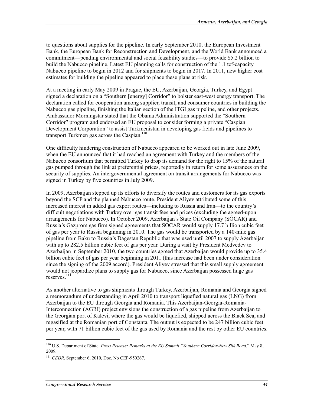to questions about supplies for the pipeline. In early September 2010, the European Investment Bank, the European Bank for Reconstruction and Development, and the World Bank announced a commitment—pending environmental and social feasibility studies—to provide \$5.2 billion to build the Nabucco pipeline. Latest EU planning calls for construction of the 1.1 tcf-capacity Nabucco pipeline to begin in 2012 and for shipments to begin in 2017. In 2011, new higher cost estimates for building the pipeline appeared to place these plans at risk.

At a meeting in early May 2009 in Prague, the EU, Azerbaijan, Georgia, Turkey, and Egypt signed a declaration on a "Southern [energy] Corridor" to bolster east-west energy transport. The declaration called for cooperation among supplier, transit, and consumer countries in building the Nabucco gas pipeline, finishing the Italian section of the ITGI gas pipeline, and other projects. Ambassador Morningstar stated that the Obama Administration supported the "Southern Corridor" program and endorsed an EU proposal to consider forming a private "Caspian Development Corporation" to assist Turkmenistan in developing gas fields and pipelines to transport Turkmen gas across the Caspian. $110$ 

One difficulty hindering construction of Nabucco appeared to be worked out in late June 2009, when the EU announced that it had reached an agreement with Turkey and the members of the Nabucco consortium that permitted Turkey to drop its demand for the right to 15% of the natural gas pumped through the link at preferential prices, reportedly in return for some assurances on the security of supplies. An intergovernmental agreement on transit arrangements for Nabucco was signed in Turkey by five countries in July 2009.

In 2009, Azerbaijan stepped up its efforts to diversify the routes and customers for its gas exports beyond the SCP and the planned Nabucco route. President Aliyev attributed some of this increased interest in added gas export routes—including to Russia and Iran—to the country's difficult negotiations with Turkey over gas transit fees and prices (excluding the agreed-upon arrangements for Nabucco). In October 2009, Azerbaijan's State Oil Company (SOCAR) and Russia's Gazprom gas firm signed agreements that SOCAR would supply 17.7 billion cubic feet of gas per year to Russia beginning in 2010. The gas would be transported by a 140-mile gas pipeline from Baku to Russia's Dagestan Republic that was used until 2007 to supply Azerbaijan with up to 282.5 billion cubic feet of gas per year. During a visit by President Medvedev to Azerbaijan in September 2010, the two countries agreed that Azerbaijan would provide up to 35.4 billion cubic feet of gas per year beginning in 2011 (this increase had been under consideration since the signing of the 2009 accord). President Aliyev stressed that this small supply agreement would not jeopardize plans to supply gas for Nabucco, since Azerbaijan possessed huge gas reserves.<sup>111</sup>

As another alternative to gas shipments through Turkey, Azerbaijan, Romania and Georgia signed a memorandum of understanding in April 2010 to transport liquefied natural gas (LNG) from Azerbaijan to the EU through Georgia and Romania. This Azerbaijan-Georgia-Romania-Interconnection (AGRI) project envisions the construction of a gas pipeline from Azerbaijan to the Georgian port of Kalevi, where the gas would be liquefied, shipped across the Black Sea, and regasified at the Romanian port of Constanta. The output is expected to be 247 billion cubic feet per year, with 71 billion cubic feet of the gas used by Romania and the rest by other EU countries.

<sup>110</sup> U.S. Department of State. *Press Release: Remarks at the EU Summit "Southern Corridor-New Silk Road*," May 8, 2009.

<sup>111</sup> *CEDR,* September 6, 2010, Doc. No CEP-950267.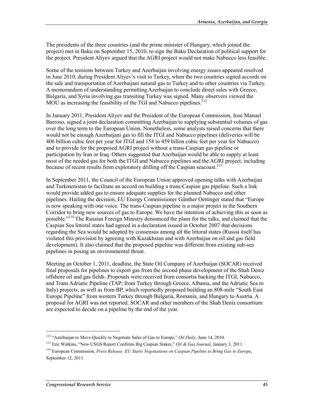The presidents of the three countries (and the prime minister of Hungary, which joined the project) met in Baku on September 15, 2010, to sign the Baku Declaration of political support for the project. President Aliyev argued that the AGRI project would not make Nabucco less feasible.

Some of the tensions between Turkey and Azerbaijan involving energy issues appeared resolved in June 2010, during President Aliyev's visit to Turkey, when the two countries signed accords on the sale and transportation of Azerbaijani natural gas to Turkey and to other countries via Turkey. A memorandum of understanding permitting Azerbaijan to conclude direct sales with Greece, Bulgaria, and Syria involving gas transiting Turkey was signed. Many observers viewed the MOU as increasing the feasibility of the TGI and Nabucco pipelines.<sup>112</sup>

In January 2011, President Aliyev and the President of the European Commission, Jose Manuel Barroso, signed a joint declaration committing Azerbaijan to supplying substantial volumes of gas over the long term to the European Union. Nonetheless, some analysts raised concerns that there would not be enough Azerbaijani gas to fill the ITGI and Nabucco pipelines (deliveries will be 406 billion cubic feet per year for ITGI and 158 to 459 billon cubic feet per year for Nabucco) and to provide for the proposed AGRI project without a trans-Caspian gas pipeline or participation by Iran or Iraq. Others suggested that Azerbaijan would be able to supply at least most of the needed gas for both the ITGI and Nabucco pipelines and the AGRI project, including because of recent results from exploratory drilling off the Caspian seacoast.<sup>113</sup>

In September 2011, the Council of the European Union approved opening talks with Azerbaijan and Turkmenistan to facilitate an accord on building a trans-Caspian gas pipeline. Such a link would provide added gas to ensure adequate supplies for the planned Nabucco and other pipelines. Hailing the decision, EU Energy Commissioner Günther Oettinger stated that "Europe is now speaking with one voice. The trans-Caspian pipeline is a major project in the Southern Corridor to bring new sources of gas to Europe. We have the intention of achieving this as soon as possible."114 The Russian Foreign Ministry denounced the plans for the talks, and claimed that the Caspian Sea littoral states had agreed in a declaration issued in October 2007 that decisions regarding the Sea would be adopted by consensus among all the littoral states (Russia itself has violated this provision by agreeing with Kazakhstan and with Azerbaijan on oil and gas field development). It also claimed that the proposed pipeline was different from existing sub-sea pipelines in posing an environmental threat.

Meeting an October 1, 2011, deadline, the State Oil Company of Azerbaijan (SOCAR) received final proposals for pipelines to export gas from the second phase development of the Shah Deniz offshore oil and gas fields. Proposals were received from consortia backing the ITGI, Nabucco, and Trans Adriatic Pipeline (TAP; from Turkey through Greece, Albania, and the Adriatic Sea to Italy) projects, as well as from BP, which reportedly proposed building an 808-mile "South East Europe Pipeline" from western Turkey through Bulgaria, Romania, and Hungary to Austria. A proposal for AGRI was not reported. SOCAR and other members of the Shah Deniz consortium are expected to decide on a pipeline by the end of the year.

<sup>112 &</sup>quot;Azerbaijan to Move Quickly to Negotiate Sales of Gas to Europe," *Oil Daily*, June 14, 2010.

<sup>113</sup> Eric Watkins, "New USGS Report Confirms Big Caspian Stakes," *Oil & Gas Journal*, January 3, 2011.

<sup>114</sup> European Commission, *Press Release: EU Starts Negotiations on Caspian Pipeline to Bring Gas to Europe*, September 12, 2011.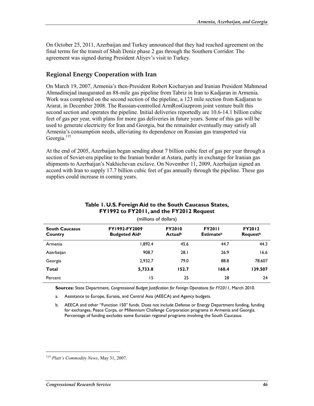On October 25, 2011, Azerbaijan and Turkey announced that they had reached agreement on the final terms for the transit of Shah Deniz phase 2 gas through the Southern Corridor. The agreement was signed during President Aliyev's visit to Turkey.

#### **Regional Energy Cooperation with Iran**

On March 19, 2007, Armenia's then-President Robert Kocharyan and Iranian President Mahmoud Ahmadinejad inaugurated an 88-mile gas pipeline from Tabriz in Iran to Kadjaran in Armenia. Work was completed on the second section of the pipeline, a 123 mile section from Kadjaran to Ararat, in December 2008. The Russian-controlled ArmRosGazprom joint venture built this second section and operates the pipeline. Initial deliveries reportedly are 10.6-14.1 billion cubic feet of gas per year, with plans for more gas deliveries in future years. Some of this gas will be used to generate electricity for Iran and Georgia, but the remainder eventually may satisfy all Armenia's consumption needs, alleviating its dependence on Russian gas transported via Georgia.<sup>115</sup>

At the end of 2005, Azerbaijan began sending about 7 billion cubic feet of gas per year through a section of Soviet-era pipeline to the Iranian border at Astara, partly in exchange for Iranian gas shipments to Azerbaijan's Nakhichevan exclave. On November 11, 2009, Azerbaijan signed an accord with Iran to supply 17.7 billion cubic feet of gas annually through the pipeline. These gas supplies could increase in coming years.

| (millions of dollars)            |                                       |                          |                                               |                                              |
|----------------------------------|---------------------------------------|--------------------------|-----------------------------------------------|----------------------------------------------|
| <b>South Caucasus</b><br>Country | FY1992-FY2009<br><b>Budgeted Aida</b> | <b>FY2010</b><br>Actualb | <b>FY2011</b><br><b>Estimate</b> <sup>b</sup> | <b>FY2012</b><br><b>Request</b> <sup>b</sup> |
| Armenia                          | 1,892.4                               | 45.6                     | 44.7                                          | 44.3                                         |
| Azerbaijan                       | 908.7                                 | 28.1                     | 26.9                                          | 16.6                                         |
| Georgia                          | 2,932.7                               | 79.0                     | 88.8                                          | 78.607                                       |
| Total                            | 5,733.8                               | 152.7                    | 160.4                                         | 139.507                                      |
| Percent                          | 15                                    | 25                       | 28                                            | 24                                           |

#### **Table 1. U.S. Foreign Aid to the South Caucasus States, FY1992 to FY2011, and the FY2012 Request**

**Sources:** State Department, *Congressional Budget Justification for Foreign Operations for FY2011*, March 2010.

a. Assistance to Europe, Eurasia, and Central Asia (AEECA) and Agency budgets.

b. AEECA and other "Function 150" funds. Does not include Defense or Energy Department funding, funding for exchanges, Peace Corps, or Millennium Challenge Corporation programs in Armenia and Georgia. Percentage of funding excludes some Eurasian regional programs involving the South Caucasus.

<sup>115</sup> *Platt's Commodity News*, May 31, 2007.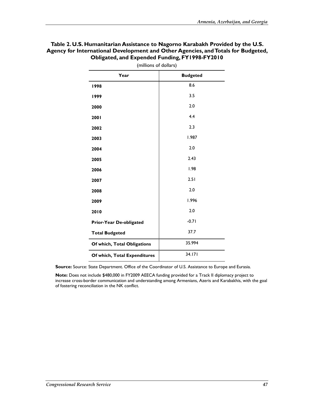| (millions of dollars)        |                 |  |
|------------------------------|-----------------|--|
| Year                         | <b>Budgeted</b> |  |
| 1998                         | 8.6             |  |
| 1999                         | 3.5             |  |
| 2000                         | 2.0             |  |
| 2001                         | 4.4             |  |
| 2002                         | 2.3             |  |
| 2003                         | 1.987           |  |
| 2004                         | 2.0             |  |
| 2005                         | 2.43            |  |
| 2006                         | 1.98            |  |
| 2007                         | 2.51            |  |
| 2008                         | 2.0             |  |
| 2009                         | 1.996           |  |
| 2010                         | 2.0             |  |
| Prior-Year De-obligated      | $-0.71$         |  |
| <b>Total Budgeted</b>        | 37.7            |  |
| Of which, Total Obligations  | 35.994          |  |
| Of which, Total Expenditures | 34.171          |  |

#### **Table 2. U.S. Humanitarian Assistance to Nagorno Karabakh Provided by the U.S. Agency for International Development and Other Agencies, and Totals for Budgeted, Obligated, and Expended Funding, FY1998-FY2010**

**Source:** Source: State Department. Office of the Coordinator of U.S. Assistance to Europe and Eurasia.

**Note:** Does not include \$480,000 in FY2009 AEECA funding provided for a Track II diplomacy project to increase cross-border communication and understanding among Armenians, Azeris and Karabakhis, with the goal of fostering reconciliation in the NK conflict.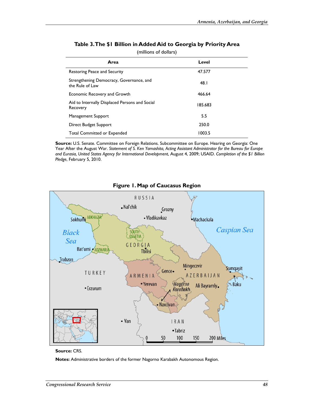| Area                                                        | Level   |
|-------------------------------------------------------------|---------|
| Restoring Peace and Security                                | 47.577  |
| Strengthening Democracy, Governance, and<br>the Rule of Law | 48. I   |
| Economic Recovery and Growth                                | 466.64  |
| Aid to Internally Displaced Persons and Social<br>Recovery  | 185.683 |
| Management Support                                          | 5.5     |
| Direct Budget Support                                       | 250.0   |
| <b>Total Committed or Expended</b>                          | 1003.5  |

#### **Table 3. The \$1 Billion in Added Aid to Georgia by Priority Area**  (millions of dollars)

**Source:** U.S. Senate. Committee on Foreign Relations. Subcommittee on Europe. Hearing on Georgia: One Year After the August War. *Statement of S. Ken Yamashita, Acting Assistant Administrator for the Bureau for Europe and Eurasia, United States Agency for International Development*, August 4, 2009; USAID. *Completion of the \$1 Billion Pledge*, February 5, 2010.



#### **Figure 1. Map of Caucasus Region**

**Source:** CRS.

**Notes:** Administrative borders of the former Nagorno Karabakh Autonomous Region.